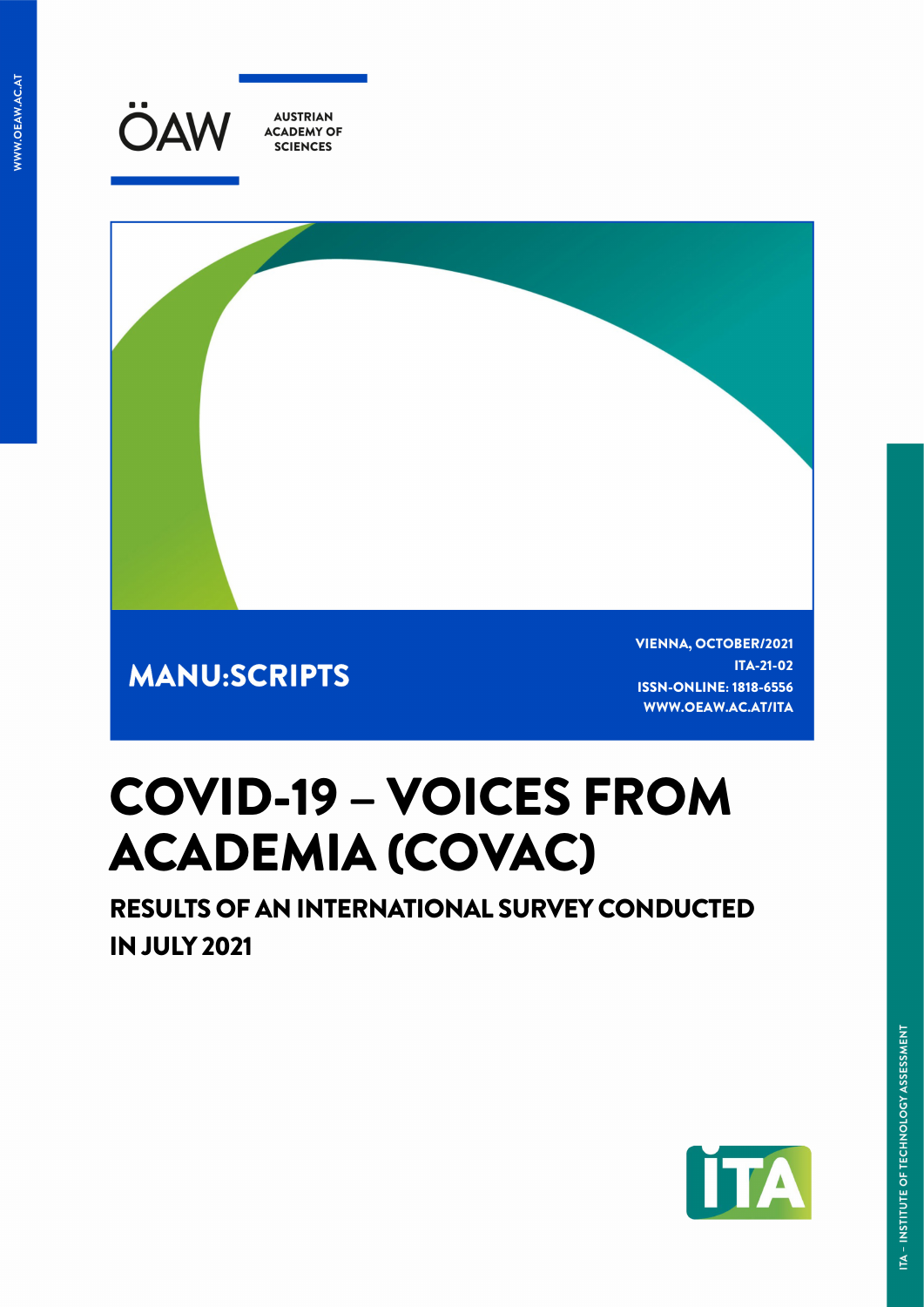



**MANU:SCRIPTS** 

VIENNA, OCTOBER/2021 ITA-21-02 ISSN-ONLINE: 1818-6556 WWW.OEAW.AC.AT/ITA

# COVID-19 – VOICES FROM ACADEMIA (COVAC)

RESULTS OF AN INTERNATIONAL SURVEY CONDUCTED IN JULY 2021

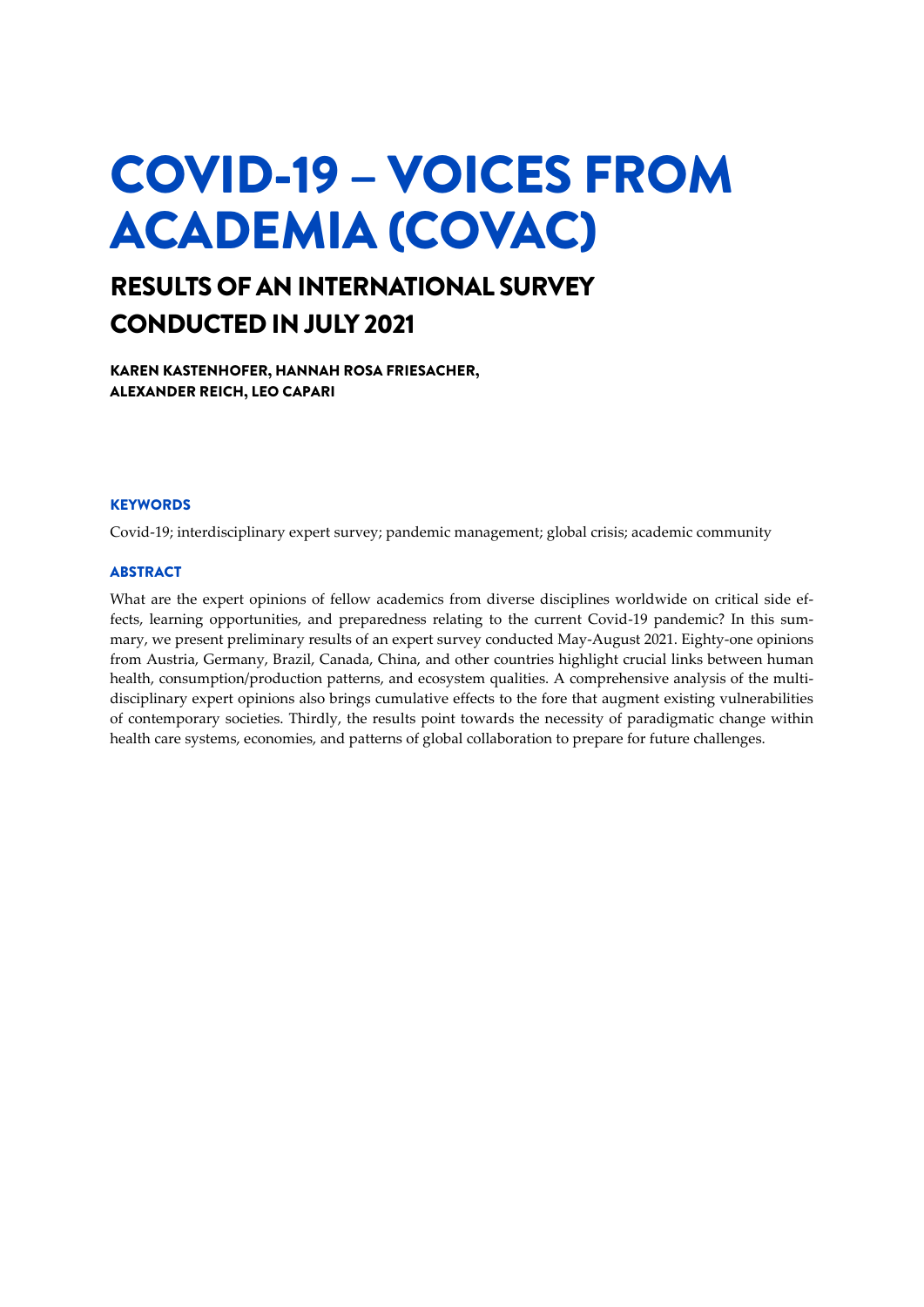# COVID-19 – VOICES FROM ACADEMIA (COVAC)

### RESULTS OF AN INTERNATIONAL SURVEY CONDUCTED IN JULY 2021

KAREN KASTENHOFER, HANNAH ROSA FRIESACHER, ALEXANDER REICH, LEO CAPARI

### **KEYWORDS**

Covid-19; interdisciplinary expert survey; pandemic management; global crisis; academic community

### **ABSTRACT**

What are the expert opinions of fellow academics from diverse disciplines worldwide on critical side effects, learning opportunities, and preparedness relating to the current Covid-19 pandemic? In this summary, we present preliminary results of an expert survey conducted May-August 2021. Eighty-one opinions from Austria, Germany, Brazil, Canada, China, and other countries highlight crucial links between human health, consumption/production patterns, and ecosystem qualities. A comprehensive analysis of the multidisciplinary expert opinions also brings cumulative effects to the fore that augment existing vulnerabilities of contemporary societies. Thirdly, the results point towards the necessity of paradigmatic change within health care systems, economies, and patterns of global collaboration to prepare for future challenges.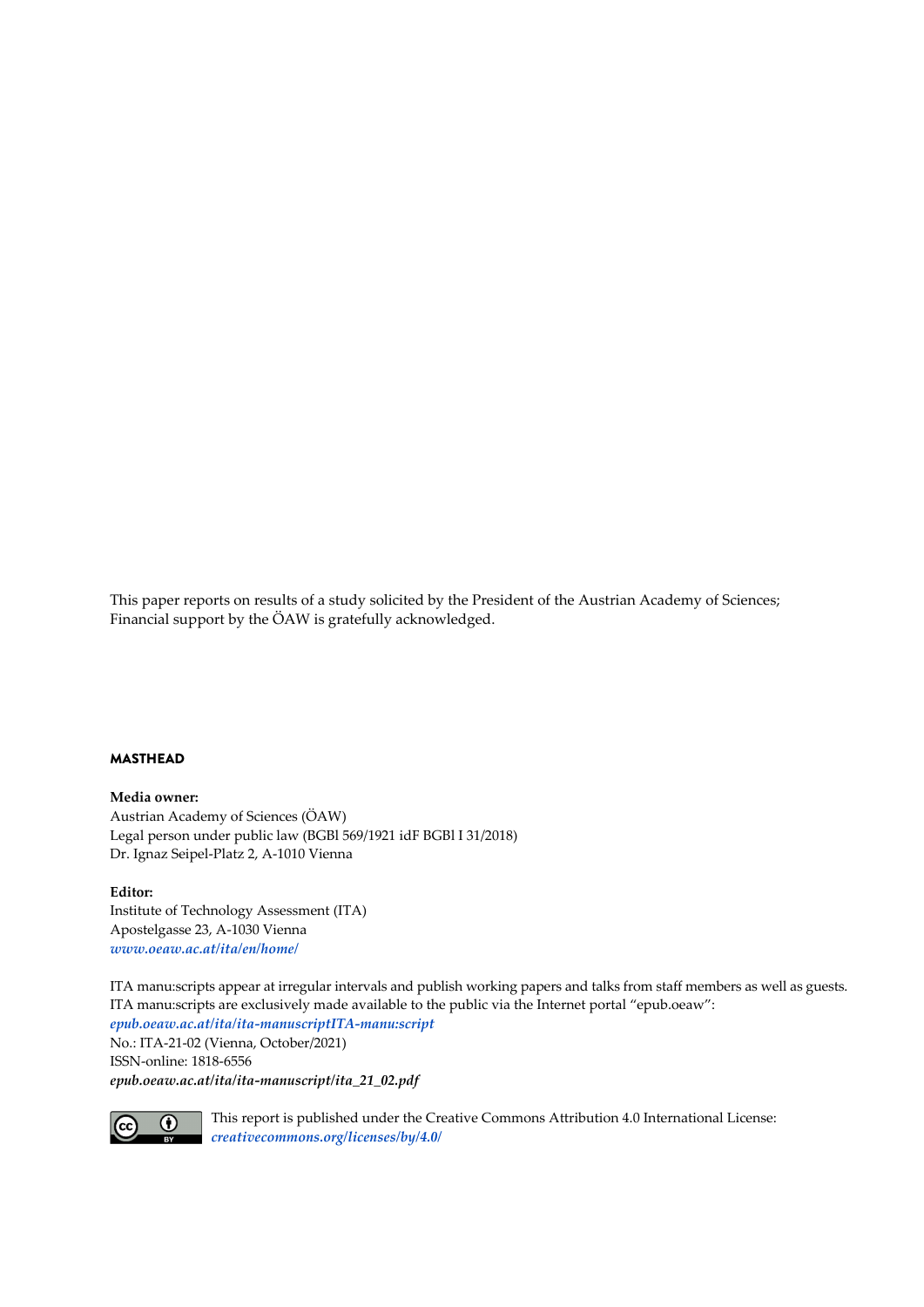This paper reports on results of a study solicited by the President of the Austrian Academy of Sciences; Financial support by the ÖAW is gratefully acknowledged.

### MASTHEAD

#### **Media owner:**

Austrian Academy of Sciences (ÖAW) Legal person under public law (BGBl 569/1921 idF BGBl I 31/2018) Dr. Ignaz Seipel-Platz 2, A-1010 Vienna

#### **Editor:**

Institute of Technology Assessment (ITA) Apostelgasse 23, A-1030 Vienna *[www.oeaw.ac.at/ita/en/home/](http://www.oeaw.ac.at/ita/en/home/)*

ITA manu:scripts appear at irregular intervals and publish working papers and talks from staff members as well as guests. ITA manu:scripts are exclusively made available to the public via the Internet portal "epub.oeaw": *[epub.oeaw.ac.at/ita/ita-manuscriptITA-manu:script](http://epub.oeaw.ac.at/ita/ita-manuscriptITA-manu:script)*

No.: ITA-21-02 (Vienna, October/2021) ISSN-online: 1818-6556 *[epub.oeaw.ac.at/ita/ita-manuscript/ita\\_21\\_02.pdf](http://epub.oeaw.ac.at/ita/ita-manuscript/ita_20_01.pdf)*



This report is published under the Creative Commons Attribution 4.0 International License: *[creativecommons.org/licenses/by/4.0/](http://creativecommons.org/licenses/by/4.0/)*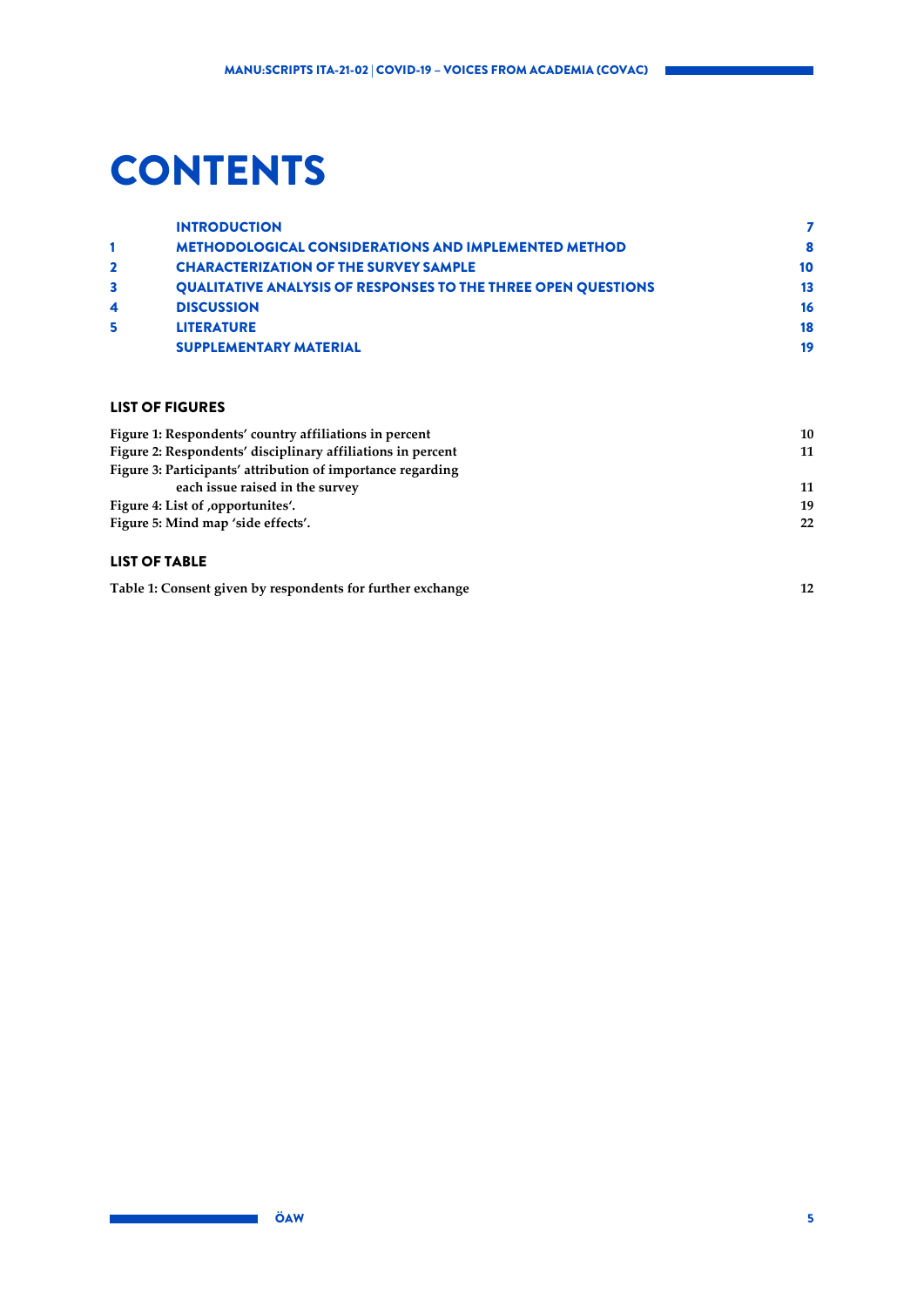## **CONTENTS**

|                  | <b>INTRODUCTION</b>                                                  |    |
|------------------|----------------------------------------------------------------------|----|
|                  | <b>METHODOLOGICAL CONSIDERATIONS AND IMPLEMENTED METHOD</b>          | 8  |
| $\mathbf{2}$     | <b>CHARACTERIZATION OF THE SURVEY SAMPLE</b>                         | 10 |
|                  | <b>QUALITATIVE ANALYSIS OF RESPONSES TO THE THREE OPEN QUESTIONS</b> | 13 |
| $\boldsymbol{4}$ | <b>DISCUSSION</b>                                                    | 16 |
| 5                | <b>LITERATURE</b>                                                    | 18 |
|                  | <b>SUPPLEMENTARY MATERIAL</b>                                        | 19 |
|                  |                                                                      |    |

### LIST OF FIGURES

| 10 |
|----|
| 11 |
|    |
| 11 |
| 19 |
| 22 |
|    |

### LIST OF TABLE

**[Table 1: Consent given by respondents for further exchange](#page-11-0) 12**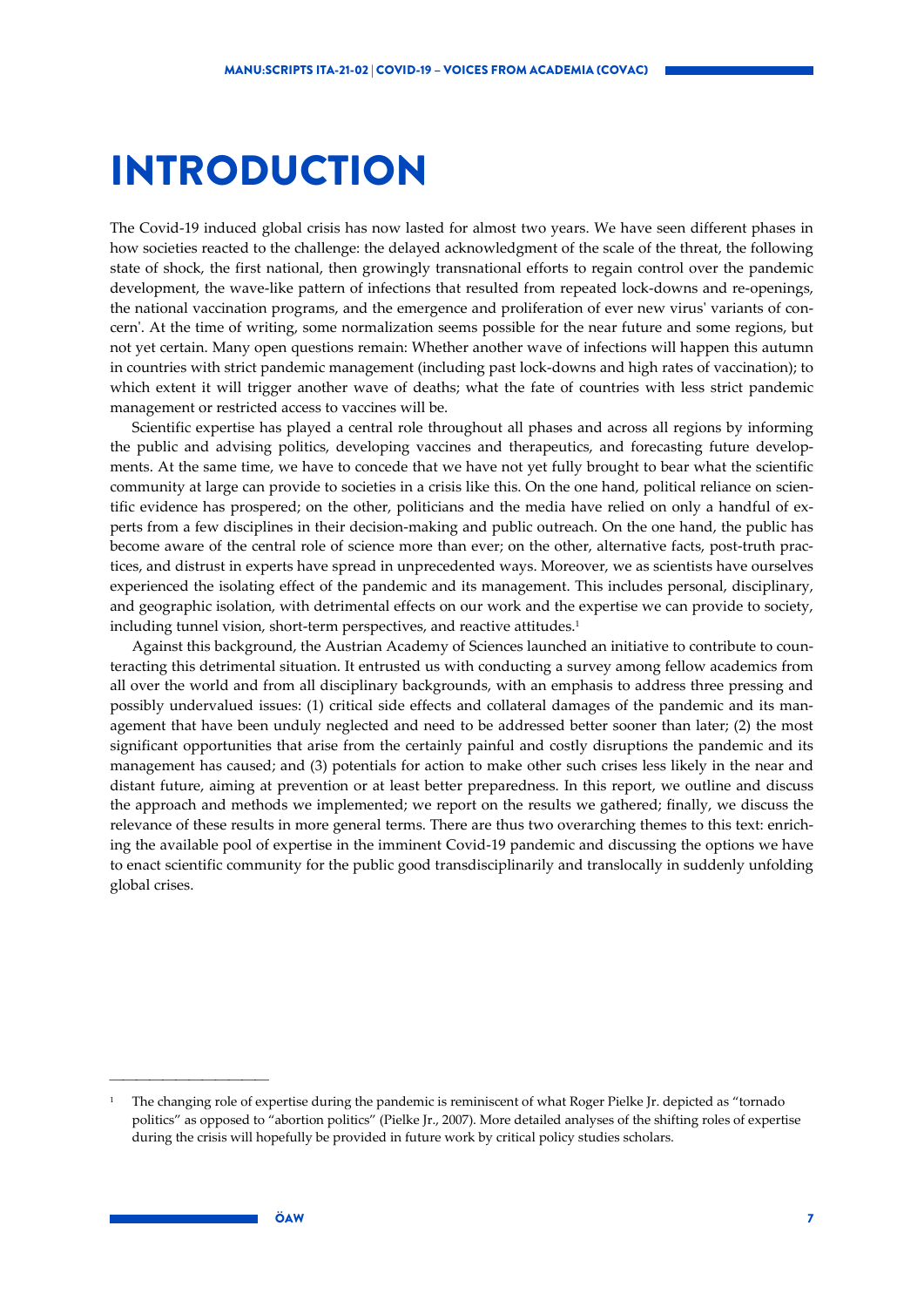### <span id="page-6-0"></span>INTRODUCTION

The Covid-19 induced global crisis has now lasted for almost two years. We have seen different phases in how societies reacted to the challenge: the delayed acknowledgment of the scale of the threat, the following state of shock, the first national, then growingly transnational efforts to regain control over the pandemic development, the wave-like pattern of infections that resulted from repeated lock-downs and re-openings, the national vaccination programs, and the emergence and proliferation of ever new virus' variants of concern'. At the time of writing, some normalization seems possible for the near future and some regions, but not yet certain. Many open questions remain: Whether another wave of infections will happen this autumn in countries with strict pandemic management (including past lock-downs and high rates of vaccination); to which extent it will trigger another wave of deaths; what the fate of countries with less strict pandemic management or restricted access to vaccines will be.

Scientific expertise has played a central role throughout all phases and across all regions by informing the public and advising politics, developing vaccines and therapeutics, and forecasting future developments. At the same time, we have to concede that we have not yet fully brought to bear what the scientific community at large can provide to societies in a crisis like this. On the one hand, political reliance on scientific evidence has prospered; on the other, politicians and the media have relied on only a handful of experts from a few disciplines in their decision-making and public outreach. On the one hand, the public has become aware of the central role of science more than ever; on the other, alternative facts, post-truth practices, and distrust in experts have spread in unprecedented ways. Moreover, we as scientists have ourselves experienced the isolating effect of the pandemic and its management. This includes personal, disciplinary, and geographic isolation, with detrimental effects on our work and the expertise we can provide to society, including tunnel vision, short-term perspectives, and reactive attitudes.<sup>1</sup>

Against this background, the Austrian Academy of Sciences launched an initiative to contribute to counteracting this detrimental situation. It entrusted us with conducting a survey among fellow academics from all over the world and from all disciplinary backgrounds, with an emphasis to address three pressing and possibly undervalued issues: (1) critical side effects and collateral damages of the pandemic and its management that have been unduly neglected and need to be addressed better sooner than later; (2) the most significant opportunities that arise from the certainly painful and costly disruptions the pandemic and its management has caused; and (3) potentials for action to make other such crises less likely in the near and distant future, aiming at prevention or at least better preparedness. In this report, we outline and discuss the approach and methods we implemented; we report on the results we gathered; finally, we discuss the relevance of these results in more general terms. There are thus two overarching themes to this text: enriching the available pool of expertise in the imminent Covid-19 pandemic and discussing the options we have to enact scientific community for the public good transdisciplinarily and translocally in suddenly unfolding global crises.

<sup>1</sup> The changing role of expertise during the pandemic is reminiscent of what Roger Pielke Jr. depicted as "tornado politics" as opposed to "abortion politics" (Pielke Jr., 2007). More detailed analyses of the shifting roles of expertise during the crisis will hopefully be provided in future work by critical policy studies scholars.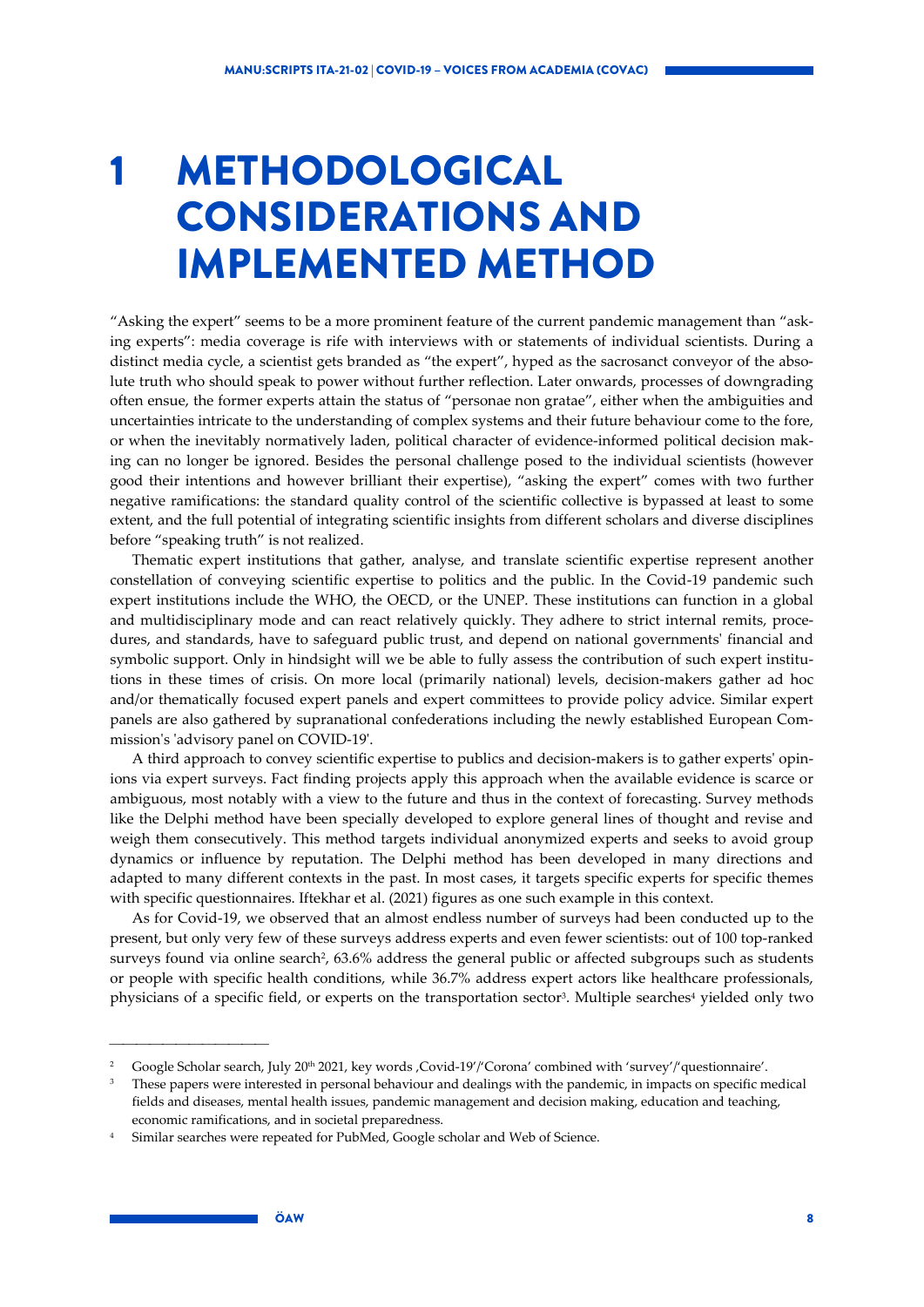## <span id="page-7-0"></span>1 METHODOLOGICAL CONSIDERATIONS AND IMPLEMENTED METHOD

"Asking the expert" seems to be a more prominent feature of the current pandemic management than "asking experts": media coverage is rife with interviews with or statements of individual scientists. During a distinct media cycle, a scientist gets branded as "the expert", hyped as the sacrosanct conveyor of the absolute truth who should speak to power without further reflection. Later onwards, processes of downgrading often ensue, the former experts attain the status of "personae non gratae", either when the ambiguities and uncertainties intricate to the understanding of complex systems and their future behaviour come to the fore, or when the inevitably normatively laden, political character of evidence-informed political decision making can no longer be ignored. Besides the personal challenge posed to the individual scientists (however good their intentions and however brilliant their expertise), "asking the expert" comes with two further negative ramifications: the standard quality control of the scientific collective is bypassed at least to some extent, and the full potential of integrating scientific insights from different scholars and diverse disciplines before "speaking truth" is not realized.

Thematic expert institutions that gather, analyse, and translate scientific expertise represent another constellation of conveying scientific expertise to politics and the public. In the Covid-19 pandemic such expert institutions include the WHO, the OECD, or the UNEP. These institutions can function in a global and multidisciplinary mode and can react relatively quickly. They adhere to strict internal remits, procedures, and standards, have to safeguard public trust, and depend on national governments' financial and symbolic support. Only in hindsight will we be able to fully assess the contribution of such expert institutions in these times of crisis. On more local (primarily national) levels, decision-makers gather ad hoc and/or thematically focused expert panels and expert committees to provide policy advice. Similar expert panels are also gathered by supranational confederations including the newly established European Commission's 'advisory panel on COVID-19'.

A third approach to convey scientific expertise to publics and decision-makers is to gather experts' opinions via expert surveys. Fact finding projects apply this approach when the available evidence is scarce or ambiguous, most notably with a view to the future and thus in the context of forecasting. Survey methods like the Delphi method have been specially developed to explore general lines of thought and revise and weigh them consecutively. This method targets individual anonymized experts and seeks to avoid group dynamics or influence by reputation. The Delphi method has been developed in many directions and adapted to many different contexts in the past. In most cases, it targets specific experts for specific themes with specific questionnaires. Iftekhar et al. (2021) figures as one such example in this context.

As for Covid-19, we observed that an almost endless number of surveys had been conducted up to the present, but only very few of these surveys address experts and even fewer scientists: out of 100 top-ranked surveys found via online search<sup>2</sup>, 63.6% address the general public or affected subgroups such as students or people with specific health conditions, while 36.7% address expert actors like healthcare professionals, physicians of a specific field, or experts on the transportation sector<sup>3</sup>. Multiple searches<sup>4</sup> yielded only two

<sup>&</sup>lt;sup>2</sup> Google Scholar search, July 20<sup>th</sup> 2021, key words , Covid-19'/'Corona' combined with 'survey'/'questionnaire'.

<sup>3</sup> These papers were interested in personal behaviour and dealings with the pandemic, in impacts on specific medical fields and diseases, mental health issues, pandemic management and decision making, education and teaching, economic ramifications, and in societal preparedness.

<sup>4</sup> Similar searches were repeated for PubMed, Google scholar and Web of Science.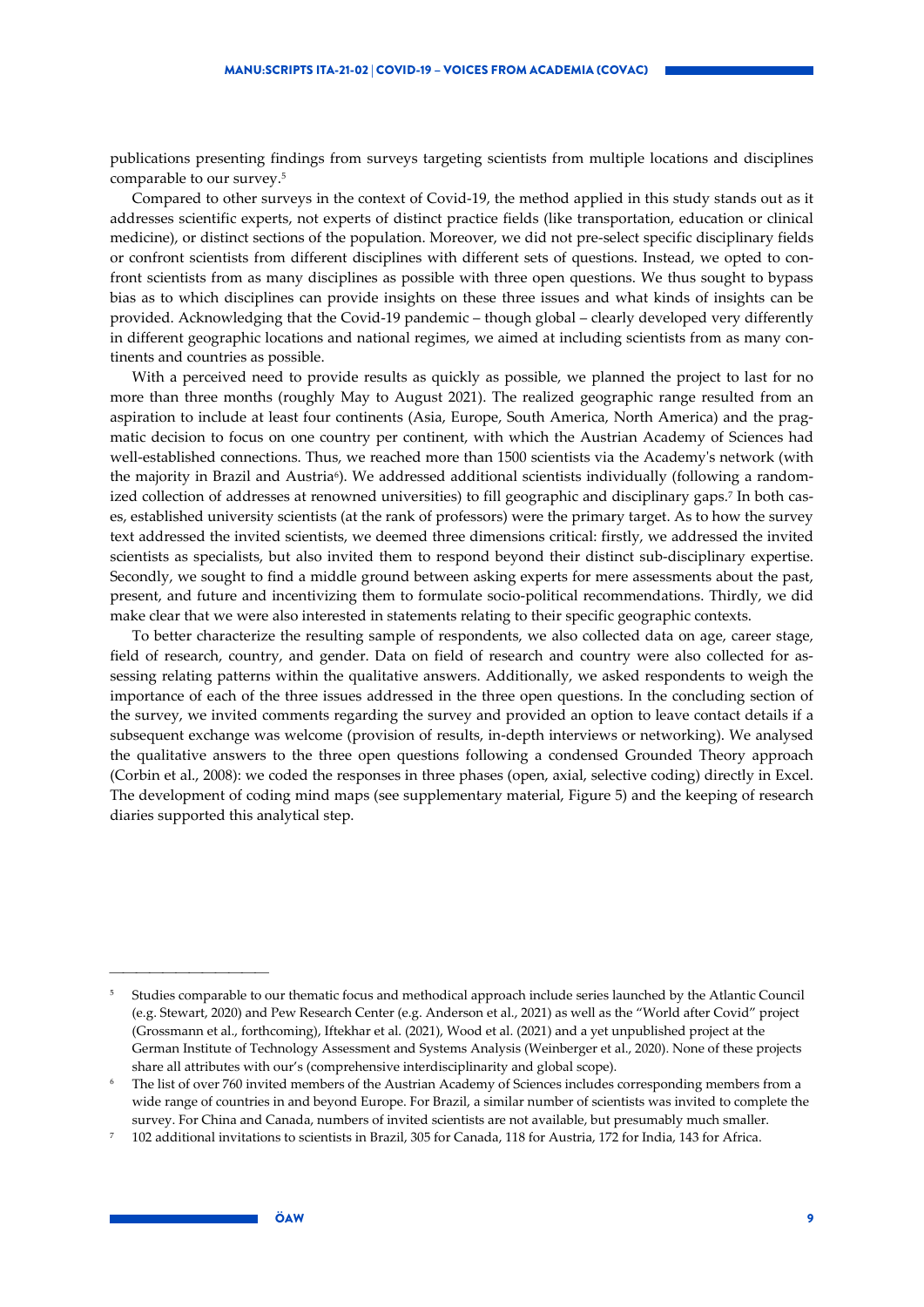publications presenting findings from surveys targeting scientists from multiple locations and disciplines comparable to our survey.5

Compared to other surveys in the context of Covid-19, the method applied in this study stands out as it addresses scientific experts, not experts of distinct practice fields (like transportation, education or clinical medicine), or distinct sections of the population. Moreover, we did not pre-select specific disciplinary fields or confront scientists from different disciplines with different sets of questions. Instead, we opted to confront scientists from as many disciplines as possible with three open questions. We thus sought to bypass bias as to which disciplines can provide insights on these three issues and what kinds of insights can be provided. Acknowledging that the Covid-19 pandemic – though global – clearly developed very differently in different geographic locations and national regimes, we aimed at including scientists from as many continents and countries as possible.

With a perceived need to provide results as quickly as possible, we planned the project to last for no more than three months (roughly May to August 2021). The realized geographic range resulted from an aspiration to include at least four continents (Asia, Europe, South America, North America) and the pragmatic decision to focus on one country per continent, with which the Austrian Academy of Sciences had well-established connections. Thus, we reached more than 1500 scientists via the Academy's network (with the majority in Brazil and Austria<sup>6</sup>). We addressed additional scientists individually (following a randomized collection of addresses at renowned universities) to fill geographic and disciplinary gaps.7 In both cases, established university scientists (at the rank of professors) were the primary target. As to how the survey text addressed the invited scientists, we deemed three dimensions critical: firstly, we addressed the invited scientists as specialists, but also invited them to respond beyond their distinct sub-disciplinary expertise. Secondly, we sought to find a middle ground between asking experts for mere assessments about the past, present, and future and incentivizing them to formulate socio-political recommendations. Thirdly, we did make clear that we were also interested in statements relating to their specific geographic contexts.

To better characterize the resulting sample of respondents, we also collected data on age, career stage, field of research, country, and gender. Data on field of research and country were also collected for assessing relating patterns within the qualitative answers. Additionally, we asked respondents to weigh the importance of each of the three issues addressed in the three open questions. In the concluding section of the survey, we invited comments regarding the survey and provided an option to leave contact details if a subsequent exchange was welcome (provision of results, in-depth interviews or networking). We analysed the qualitative answers to the three open questions following a condensed Grounded Theory approach (Corbin et al., 2008): we coded the responses in three phases (open, axial, selective coding) directly in Excel. The development of coding mind maps (see supplementary material, Figure 5) and the keeping of research diaries supported this analytical step.

<sup>5</sup> Studies comparable to our thematic focus and methodical approach include series launched by the Atlantic Council (e.g. Stewart, 2020) and Pew Research Center (e.g. Anderson et al., 2021) as well as the "World after Covid" project (Grossmann et al., forthcoming), Iftekhar et al. (2021), Wood et al. (2021) and a yet unpublished project at the German Institute of Technology Assessment and Systems Analysis (Weinberger et al., 2020). None of these projects share all attributes with our's (comprehensive interdisciplinarity and global scope).

<sup>6</sup> The list of over 760 invited members of the Austrian Academy of Sciences includes corresponding members from a wide range of countries in and beyond Europe. For Brazil, a similar number of scientists was invited to complete the survey. For China and Canada, numbers of invited scientists are not available, but presumably much smaller.

<sup>7</sup> 102 additional invitations to scientists in Brazil, 305 for Canada, 118 for Austria, 172 for India, 143 for Africa.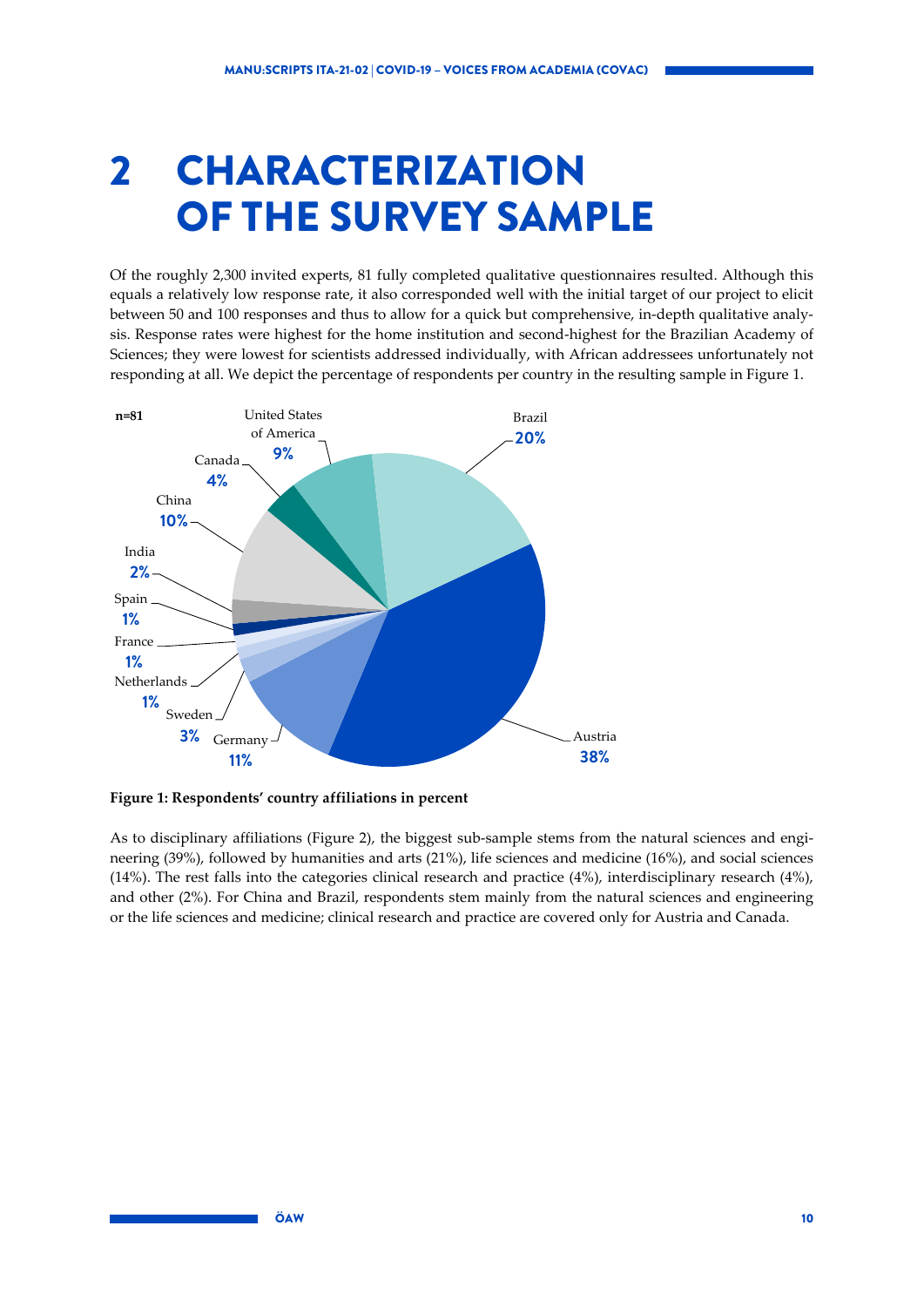## <span id="page-9-0"></span>2 CHARACTERIZATION OF THE SURVEY SAMPLE

Of the roughly 2,300 invited experts, 81 fully completed qualitative questionnaires resulted. Although this equals a relatively low response rate, it also corresponded well with the initial target of our project to elicit between 50 and 100 responses and thus to allow for a quick but comprehensive, in-depth qualitative analysis. Response rates were highest for the home institution and second-highest for the Brazilian Academy of Sciences; they were lowest for scientists addressed individually, with African addressees unfortunately not responding at all. We depict the percentage of respondents per country in the resulting sample in [Figure 1.](#page-9-1)



<span id="page-9-1"></span>**Figure 1: Respondents' country affiliations in percent**

As to disciplinary affiliations [\(Figure 2\)](#page-10-0), the biggest sub-sample stems from the natural sciences and engineering (39%), followed by humanities and arts (21%), life sciences and medicine (16%), and social sciences (14%). The rest falls into the categories clinical research and practice (4%), interdisciplinary research (4%), and other (2%). For China and Brazil, respondents stem mainly from the natural sciences and engineering or the life sciences and medicine; clinical research and practice are covered only for Austria and Canada.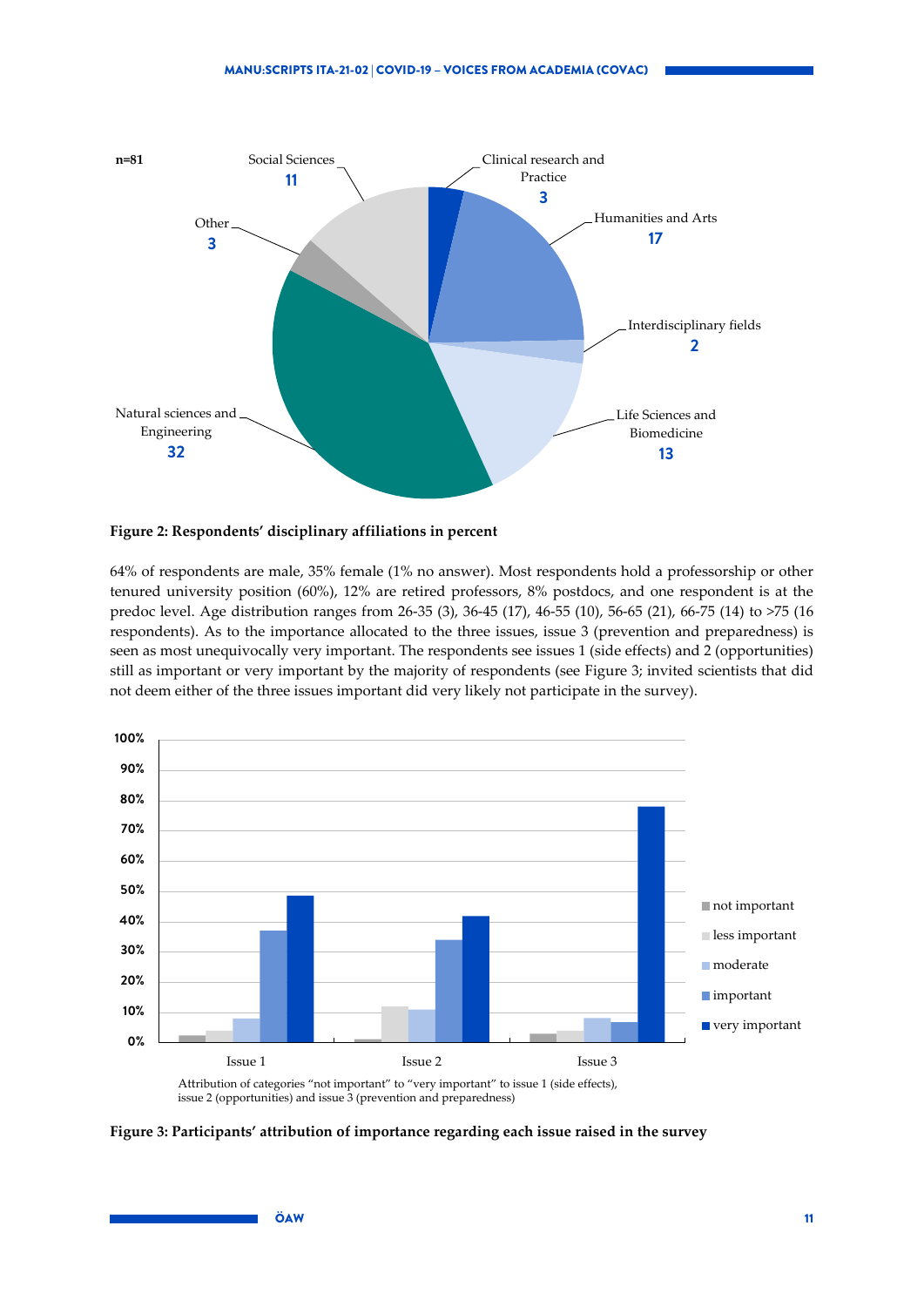

#### <span id="page-10-0"></span>**Figure 2: Respondents' disciplinary affiliations in percent**

64% of respondents are male, 35% female (1% no answer). Most respondents hold a professorship or other tenured university position (60%), 12% are retired professors, 8% postdocs, and one respondent is at the predoc level. Age distribution ranges from 26-35 (3), 36-45 (17), 46-55 (10), 56-65 (21), 66-75 (14) to >75 (16 respondents). As to the importance allocated to the three issues, issue 3 (prevention and preparedness) is seen as most unequivocally very important. The respondents see issues 1 (side effects) and 2 (opportunities) still as important or very important by the majority of respondents (see [Figure 3;](#page-10-1) invited scientists that did not deem either of the three issues important did very likely not participate in the survey).



<span id="page-10-1"></span>**Figure 3: Participants' attribution of importance regarding each issue raised in the survey**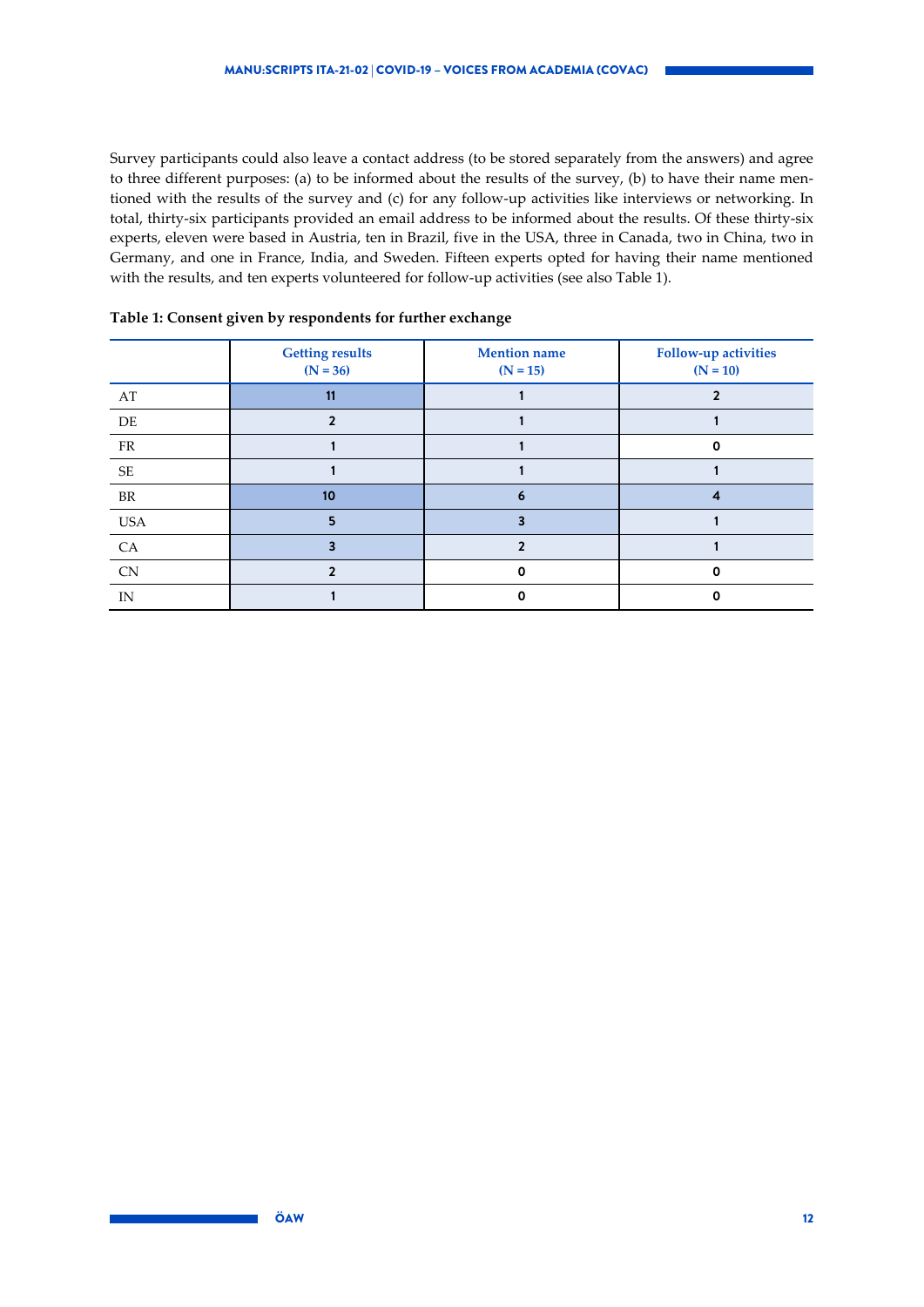Survey participants could also leave a contact address (to be stored separately from the answers) and agree to three different purposes: (a) to be informed about the results of the survey, (b) to have their name mentioned with the results of the survey and (c) for any follow-up activities like interviews or networking. In total, thirty-six participants provided an email address to be informed about the results. Of these thirty-six experts, eleven were based in Austria, ten in Brazil, five in the USA, three in Canada, two in China, two in Germany, and one in France, India, and Sweden. Fifteen experts opted for having their name mentioned with the results, and ten experts volunteered for follow-up activities (see also [Table 1\)](#page-11-0).

|            | <b>Getting results</b><br>$(N = 36)$ | <b>Mention</b> name<br>$(N = 15)$ | <b>Follow-up activities</b><br>$(N = 10)$ |
|------------|--------------------------------------|-----------------------------------|-------------------------------------------|
| AT         | 11                                   |                                   |                                           |
| $\rm DE$   |                                      |                                   |                                           |
| ${\rm FR}$ |                                      |                                   | 0                                         |
| $\rm SE$   |                                      |                                   |                                           |
| $\rm{BR}$  | 10                                   | 6                                 |                                           |
| <b>USA</b> |                                      |                                   |                                           |
| CA         |                                      |                                   |                                           |
| <b>CN</b>  |                                      | o                                 | O                                         |
| IN         |                                      |                                   |                                           |

<span id="page-11-0"></span>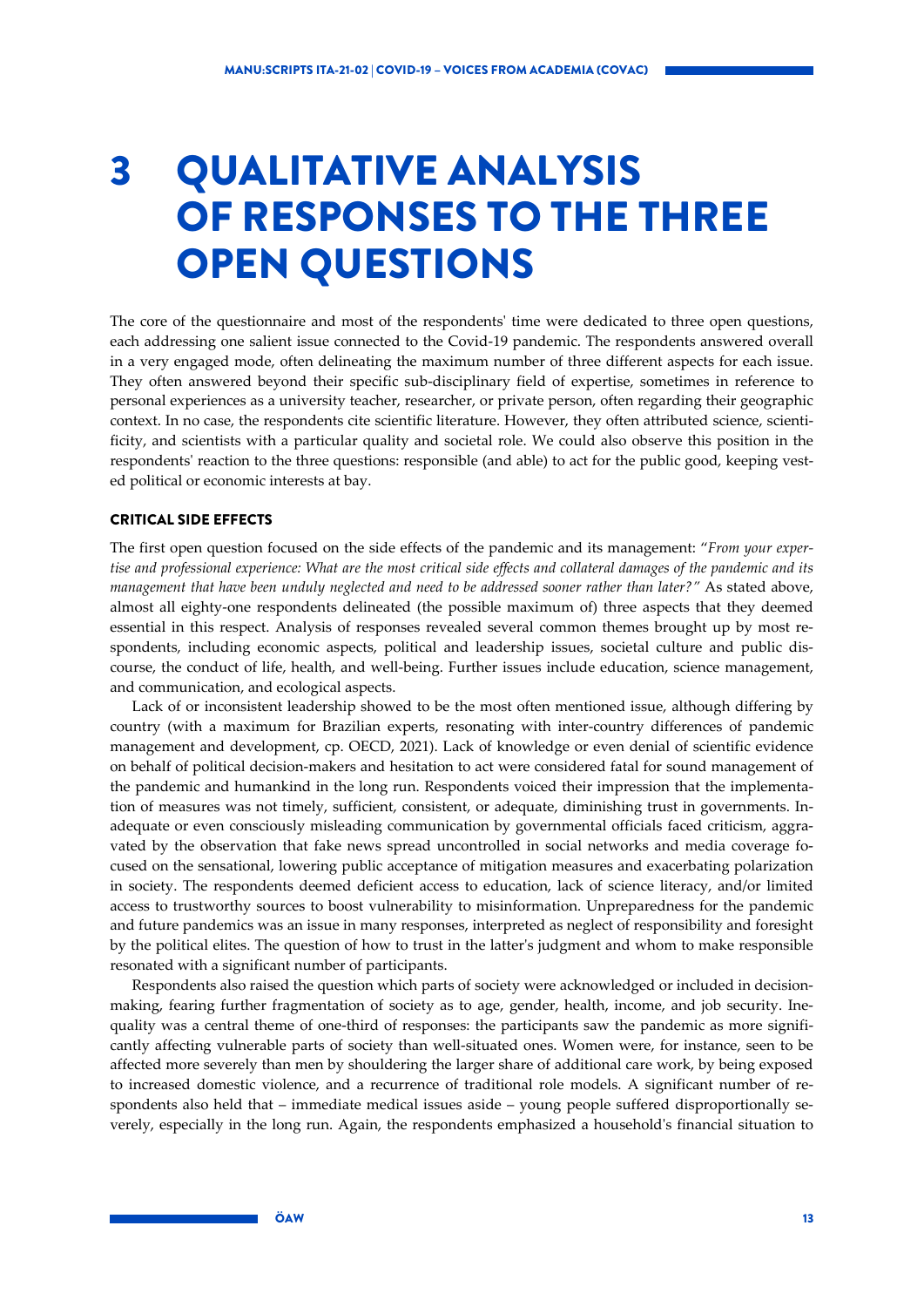## <span id="page-12-0"></span>3 QUALITATIVE ANALYSIS OF RESPONSES TO THE THREE OPEN QUESTIONS

The core of the questionnaire and most of the respondents' time were dedicated to three open questions, each addressing one salient issue connected to the Covid-19 pandemic. The respondents answered overall in a very engaged mode, often delineating the maximum number of three different aspects for each issue. They often answered beyond their specific sub-disciplinary field of expertise, sometimes in reference to personal experiences as a university teacher, researcher, or private person, often regarding their geographic context. In no case, the respondents cite scientific literature. However, they often attributed science, scientificity, and scientists with a particular quality and societal role. We could also observe this position in the respondents' reaction to the three questions: responsible (and able) to act for the public good, keeping vested political or economic interests at bay.

### CRITICAL SIDE EFFECTS

The first open question focused on the side effects of the pandemic and its management: "*From your expertise and professional experience: What are the most critical side effects and collateral damages of the pandemic and its management that have been unduly neglected and need to be addressed sooner rather than later?"* As stated above, almost all eighty-one respondents delineated (the possible maximum of) three aspects that they deemed essential in this respect. Analysis of responses revealed several common themes brought up by most respondents, including economic aspects, political and leadership issues, societal culture and public discourse, the conduct of life, health, and well-being. Further issues include education, science management, and communication, and ecological aspects.

Lack of or inconsistent leadership showed to be the most often mentioned issue, although differing by country (with a maximum for Brazilian experts, resonating with inter-country differences of pandemic management and development, cp. OECD, 2021). Lack of knowledge or even denial of scientific evidence on behalf of political decision-makers and hesitation to act were considered fatal for sound management of the pandemic and humankind in the long run. Respondents voiced their impression that the implementation of measures was not timely, sufficient, consistent, or adequate, diminishing trust in governments. Inadequate or even consciously misleading communication by governmental officials faced criticism, aggravated by the observation that fake news spread uncontrolled in social networks and media coverage focused on the sensational, lowering public acceptance of mitigation measures and exacerbating polarization in society. The respondents deemed deficient access to education, lack of science literacy, and/or limited access to trustworthy sources to boost vulnerability to misinformation. Unpreparedness for the pandemic and future pandemics was an issue in many responses, interpreted as neglect of responsibility and foresight by the political elites. The question of how to trust in the latter's judgment and whom to make responsible resonated with a significant number of participants.

Respondents also raised the question which parts of society were acknowledged or included in decisionmaking, fearing further fragmentation of society as to age, gender, health, income, and job security. Inequality was a central theme of one-third of responses: the participants saw the pandemic as more significantly affecting vulnerable parts of society than well-situated ones. Women were, for instance, seen to be affected more severely than men by shouldering the larger share of additional care work, by being exposed to increased domestic violence, and a recurrence of traditional role models. A significant number of respondents also held that – immediate medical issues aside – young people suffered disproportionally severely, especially in the long run. Again, the respondents emphasized a household's financial situation to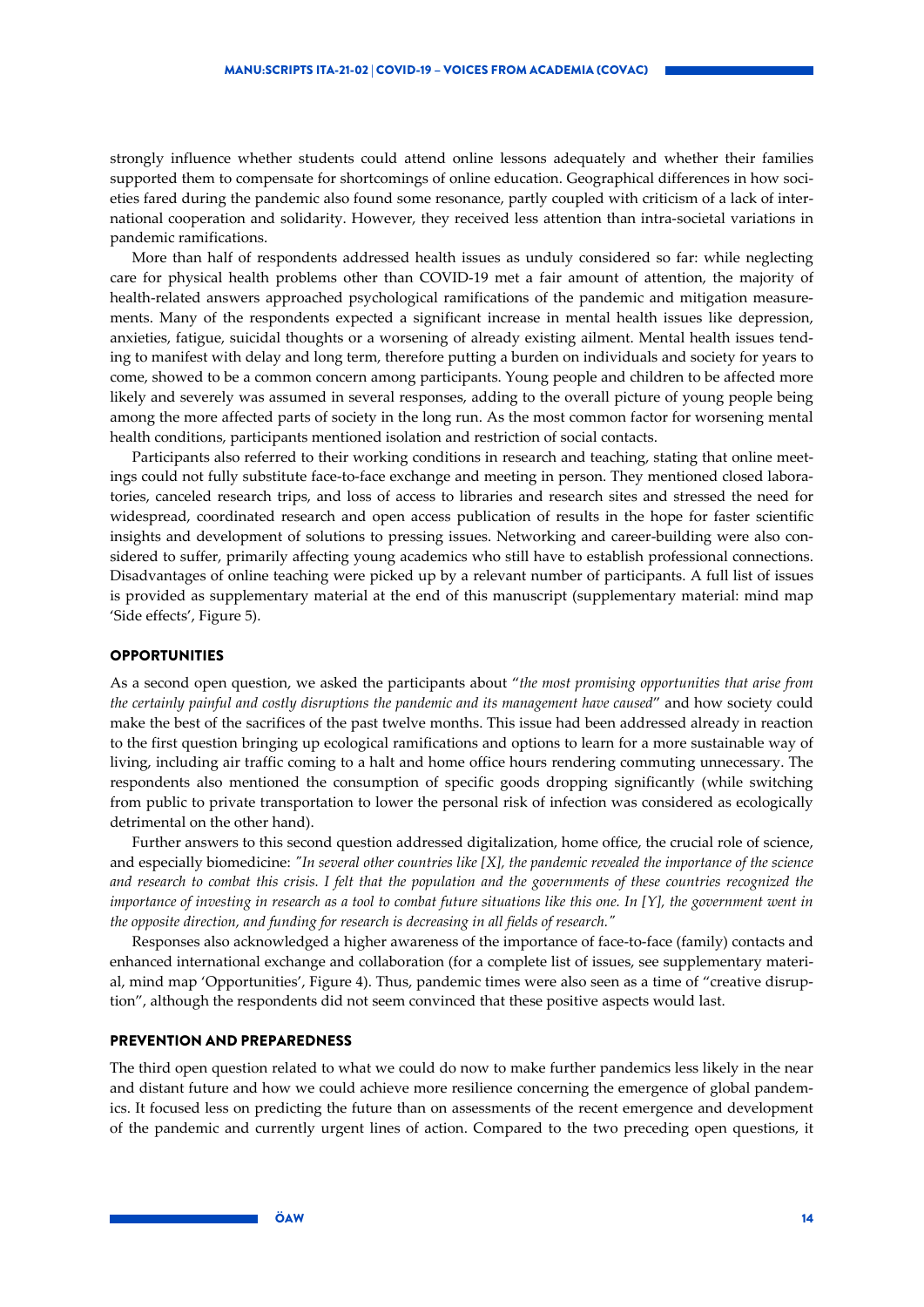strongly influence whether students could attend online lessons adequately and whether their families supported them to compensate for shortcomings of online education. Geographical differences in how societies fared during the pandemic also found some resonance, partly coupled with criticism of a lack of international cooperation and solidarity. However, they received less attention than intra-societal variations in pandemic ramifications.

More than half of respondents addressed health issues as unduly considered so far: while neglecting care for physical health problems other than COVID-19 met a fair amount of attention, the majority of health-related answers approached psychological ramifications of the pandemic and mitigation measurements. Many of the respondents expected a significant increase in mental health issues like depression, anxieties, fatigue, suicidal thoughts or a worsening of already existing ailment. Mental health issues tending to manifest with delay and long term, therefore putting a burden on individuals and society for years to come, showed to be a common concern among participants. Young people and children to be affected more likely and severely was assumed in several responses, adding to the overall picture of young people being among the more affected parts of society in the long run. As the most common factor for worsening mental health conditions, participants mentioned isolation and restriction of social contacts.

Participants also referred to their working conditions in research and teaching, stating that online meetings could not fully substitute face-to-face exchange and meeting in person. They mentioned closed laboratories, canceled research trips, and loss of access to libraries and research sites and stressed the need for widespread, coordinated research and open access publication of results in the hope for faster scientific insights and development of solutions to pressing issues. Networking and career-building were also considered to suffer, primarily affecting young academics who still have to establish professional connections. Disadvantages of online teaching were picked up by a relevant number of participants. A full list of issues is provided as supplementary material at the end of this manuscript (supplementary material: mind map 'Side effects', [Figure 5\)](#page-21-0).

#### **OPPORTUNITIES**

As a second open question, we asked the participants about "*the most promising opportunities that arise from the certainly painful and costly disruptions the pandemic and its management have caused*" and how society could make the best of the sacrifices of the past twelve months. This issue had been addressed already in reaction to the first question bringing up ecological ramifications and options to learn for a more sustainable way of living, including air traffic coming to a halt and home office hours rendering commuting unnecessary. The respondents also mentioned the consumption of specific goods dropping significantly (while switching from public to private transportation to lower the personal risk of infection was considered as ecologically detrimental on the other hand).

Further answers to this second question addressed digitalization, home office, the crucial role of science, and especially biomedicine: *"In several other countries like [X], the pandemic revealed the importance of the science and research to combat this crisis. I felt that the population and the governments of these countries recognized the importance of investing in research as a tool to combat future situations like this one. In [Y], the government went in the opposite direction, and funding for research is decreasing in all fields of research."*

Responses also acknowledged a higher awareness of the importance of face-to-face (family) contacts and enhanced international exchange and collaboration (for a complete list of issues, see supplementary material, mind map 'Opportunities', [Figure 4\)](#page-18-1). Thus, pandemic times were also seen as a time of "creative disruption", although the respondents did not seem convinced that these positive aspects would last.

#### PREVENTION AND PREPAREDNESS

The third open question related to what we could do now to make further pandemics less likely in the near and distant future and how we could achieve more resilience concerning the emergence of global pandemics. It focused less on predicting the future than on assessments of the recent emergence and development of the pandemic and currently urgent lines of action. Compared to the two preceding open questions, it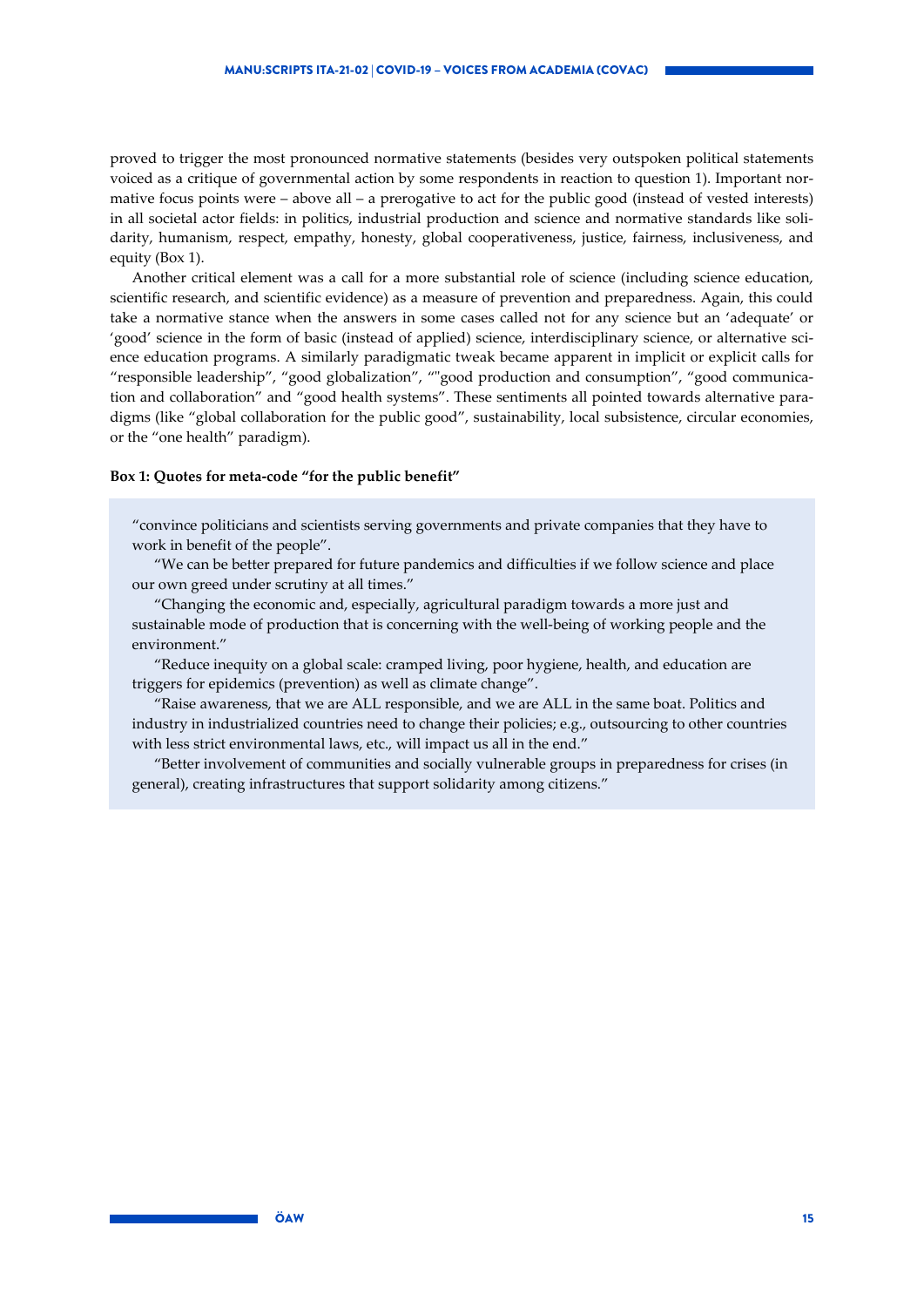proved to trigger the most pronounced normative statements (besides very outspoken political statements voiced as a critique of governmental action by some respondents in reaction to question 1). Important normative focus points were – above all – a prerogative to act for the public good (instead of vested interests) in all societal actor fields: in politics, industrial production and science and normative standards like solidarity, humanism, respect, empathy, honesty, global cooperativeness, justice, fairness, inclusiveness, and equity [\(Box 1\)](#page-14-0).

Another critical element was a call for a more substantial role of science (including science education, scientific research, and scientific evidence) as a measure of prevention and preparedness. Again, this could take a normative stance when the answers in some cases called not for any science but an 'adequate' or 'good' science in the form of basic (instead of applied) science, interdisciplinary science, or alternative science education programs. A similarly paradigmatic tweak became apparent in implicit or explicit calls for "responsible leadership", "good globalization", ""good production and consumption", "good communication and collaboration" and "good health systems". These sentiments all pointed towards alternative paradigms (like "global collaboration for the public good", sustainability, local subsistence, circular economies, or the "one health" paradigm).

#### <span id="page-14-0"></span>**Box 1: Quotes for meta-code "for the public benefit"**

"convince politicians and scientists serving governments and private companies that they have to work in benefit of the people".

"We can be better prepared for future pandemics and difficulties if we follow science and place our own greed under scrutiny at all times."

"Changing the economic and, especially, agricultural paradigm towards a more just and sustainable mode of production that is concerning with the well-being of working people and the environment."

"Reduce inequity on a global scale: cramped living, poor hygiene, health, and education are triggers for epidemics (prevention) as well as climate change".

"Raise awareness, that we are ALL responsible, and we are ALL in the same boat. Politics and industry in industrialized countries need to change their policies; e.g., outsourcing to other countries with less strict environmental laws, etc., will impact us all in the end."

"Better involvement of communities and socially vulnerable groups in preparedness for crises (in general), creating infrastructures that support solidarity among citizens."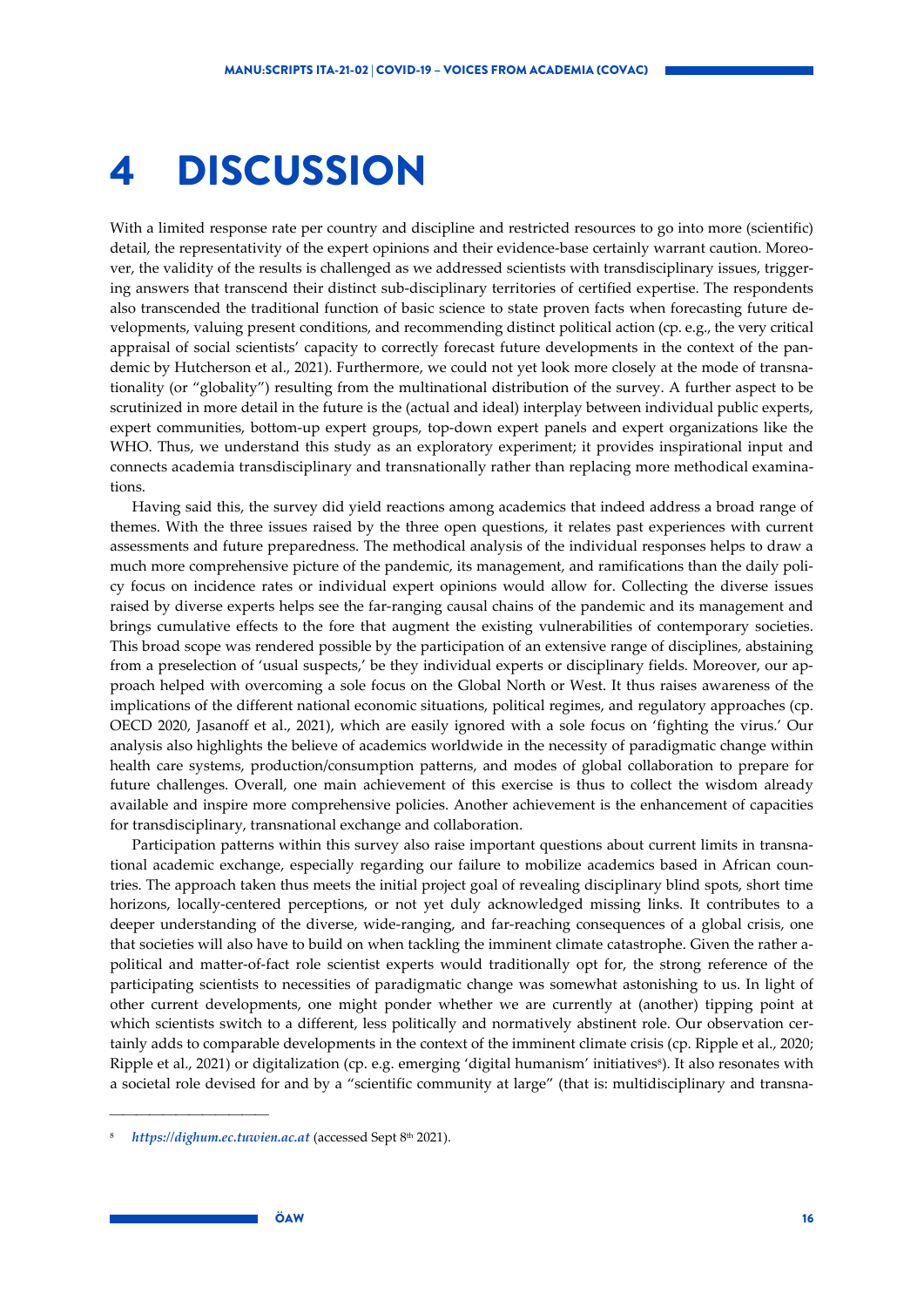### <span id="page-15-0"></span>4 DISCUSSION

With a limited response rate per country and discipline and restricted resources to go into more (scientific) detail, the representativity of the expert opinions and their evidence-base certainly warrant caution. Moreover, the validity of the results is challenged as we addressed scientists with transdisciplinary issues, triggering answers that transcend their distinct sub-disciplinary territories of certified expertise. The respondents also transcended the traditional function of basic science to state proven facts when forecasting future developments, valuing present conditions, and recommending distinct political action (cp. e.g., the very critical appraisal of social scientists' capacity to correctly forecast future developments in the context of the pandemic by Hutcherson et al., 2021). Furthermore, we could not yet look more closely at the mode of transnationality (or "globality") resulting from the multinational distribution of the survey. A further aspect to be scrutinized in more detail in the future is the (actual and ideal) interplay between individual public experts, expert communities, bottom-up expert groups, top-down expert panels and expert organizations like the WHO. Thus, we understand this study as an exploratory experiment; it provides inspirational input and connects academia transdisciplinary and transnationally rather than replacing more methodical examinations.

Having said this, the survey did yield reactions among academics that indeed address a broad range of themes. With the three issues raised by the three open questions, it relates past experiences with current assessments and future preparedness. The methodical analysis of the individual responses helps to draw a much more comprehensive picture of the pandemic, its management, and ramifications than the daily policy focus on incidence rates or individual expert opinions would allow for. Collecting the diverse issues raised by diverse experts helps see the far-ranging causal chains of the pandemic and its management and brings cumulative effects to the fore that augment the existing vulnerabilities of contemporary societies. This broad scope was rendered possible by the participation of an extensive range of disciplines, abstaining from a preselection of 'usual suspects,' be they individual experts or disciplinary fields. Moreover, our approach helped with overcoming a sole focus on the Global North or West. It thus raises awareness of the implications of the different national economic situations, political regimes, and regulatory approaches (cp. OECD 2020, Jasanoff et al., 2021), which are easily ignored with a sole focus on 'fighting the virus.' Our analysis also highlights the believe of academics worldwide in the necessity of paradigmatic change within health care systems, production/consumption patterns, and modes of global collaboration to prepare for future challenges. Overall, one main achievement of this exercise is thus to collect the wisdom already available and inspire more comprehensive policies. Another achievement is the enhancement of capacities for transdisciplinary, transnational exchange and collaboration.

Participation patterns within this survey also raise important questions about current limits in transnational academic exchange, especially regarding our failure to mobilize academics based in African countries. The approach taken thus meets the initial project goal of revealing disciplinary blind spots, short time horizons, locally-centered perceptions, or not yet duly acknowledged missing links. It contributes to a deeper understanding of the diverse, wide-ranging, and far-reaching consequences of a global crisis, one that societies will also have to build on when tackling the imminent climate catastrophe. Given the rather apolitical and matter-of-fact role scientist experts would traditionally opt for, the strong reference of the participating scientists to necessities of paradigmatic change was somewhat astonishing to us. In light of other current developments, one might ponder whether we are currently at (another) tipping point at which scientists switch to a different, less politically and normatively abstinent role. Our observation certainly adds to comparable developments in the context of the imminent climate crisis (cp. Ripple et al., 2020; Ripple et al., 2021) or digitalization (cp. e.g. emerging 'digital humanism' initiatives<sup>8</sup>). It also resonates with a societal role devised for and by a "scientific community at large" (that is: multidisciplinary and transna-

<sup>8</sup> *[https://dighum.ec.tuwien.ac.at](https://dighum.ec.tuwien.ac.at/)* (accessed Sept 8th 2021).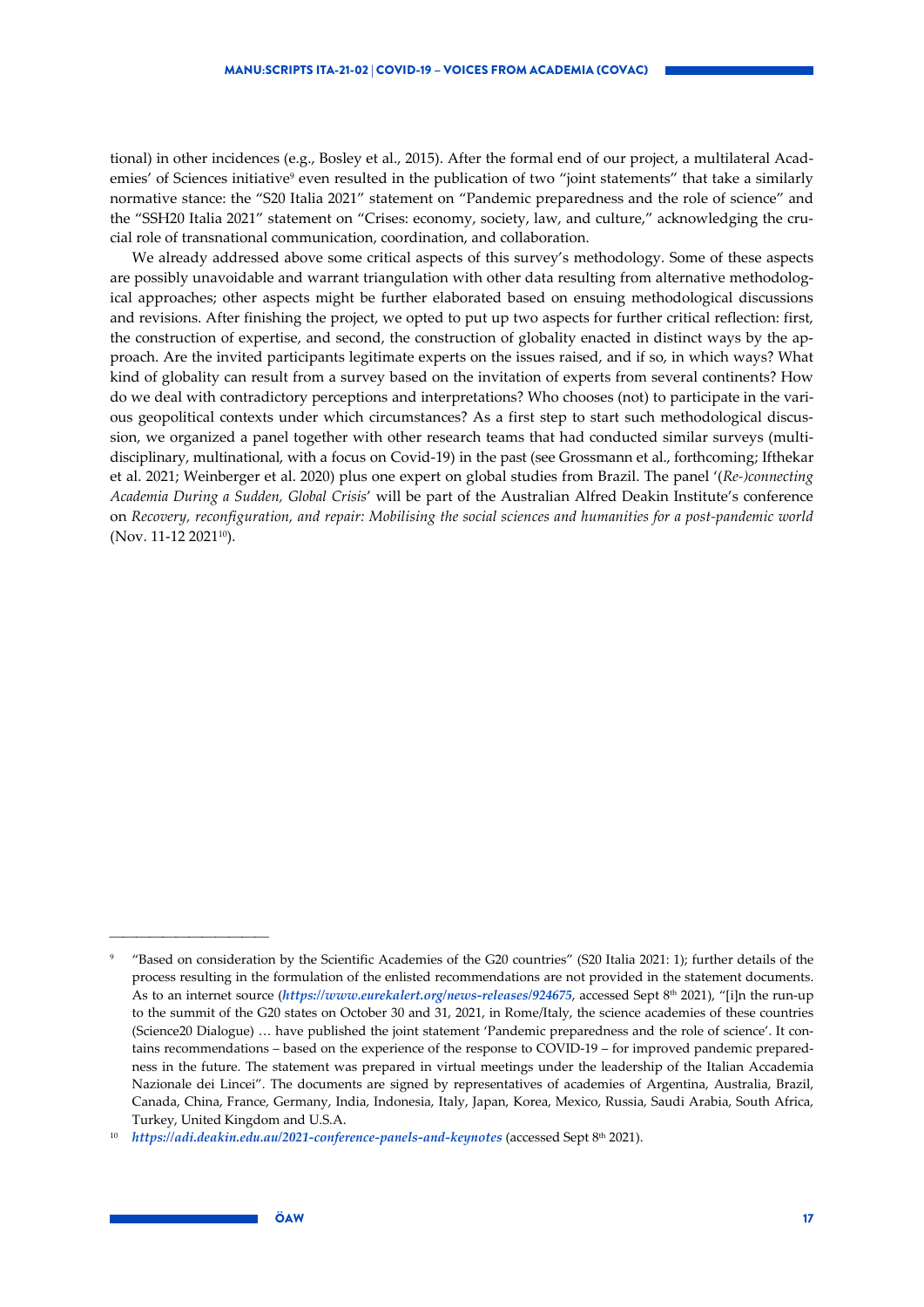tional) in other incidences (e.g., Bosley et al., 2015). After the formal end of our project, a multilateral Academies' of Sciences initiative<sup>9</sup> even resulted in the publication of two "joint statements" that take a similarly normative stance: the "S20 Italia 2021" statement on "Pandemic preparedness and the role of science" and the "SSH20 Italia 2021" statement on "Crises: economy, society, law, and culture," acknowledging the crucial role of transnational communication, coordination, and collaboration.

We already addressed above some critical aspects of this survey's methodology. Some of these aspects are possibly unavoidable and warrant triangulation with other data resulting from alternative methodological approaches; other aspects might be further elaborated based on ensuing methodological discussions and revisions. After finishing the project, we opted to put up two aspects for further critical reflection: first, the construction of expertise, and second, the construction of globality enacted in distinct ways by the approach. Are the invited participants legitimate experts on the issues raised, and if so, in which ways? What kind of globality can result from a survey based on the invitation of experts from several continents? How do we deal with contradictory perceptions and interpretations? Who chooses (not) to participate in the various geopolitical contexts under which circumstances? As a first step to start such methodological discussion, we organized a panel together with other research teams that had conducted similar surveys (multidisciplinary, multinational, with a focus on Covid-19) in the past (see Grossmann et al., forthcoming; Ifthekar et al. 2021; Weinberger et al. 2020) plus one expert on global studies from Brazil. The panel '(*Re-)connecting Academia During a Sudden, Global Crisis*' will be part of the Australian Alfred Deakin Institute's conference on *Recovery, reconfiguration, and repair: Mobilising the social sciences and humanities for a post-pandemic world* (Nov. 11-12 202110).

<sup>9</sup> "Based on consideration by the Scientific Academies of the G20 countries" (S20 Italia 2021: 1); further details of the process resulting in the formulation of the enlisted recommendations are not provided in the statement documents. As to an internet source (*<https://www.eurekalert.org/news-releases/924675>*, accessed Sept 8th 2021), "[i]n the run-up to the summit of the G20 states on October 30 and 31, 2021, in Rome/Italy, the science academies of these countries (Science20 Dialogue) … have published the joint statement 'Pandemic preparedness and the role of science'. It contains recommendations – based on the experience of the response to COVID-19 – for improved pandemic preparedness in the future. The statement was prepared in virtual meetings under the leadership of the Italian Accademia Nazionale dei Lincei". The documents are signed by representatives of academies of Argentina, Australia, Brazil, Canada, China, France, Germany, India, Indonesia, Italy, Japan, Korea, Mexico, Russia, Saudi Arabia, South Africa, Turkey, United Kingdom and U.S.A.

<sup>10</sup> *<https://adi.deakin.edu.au/2021-conference-panels-and-keynotes>* (accessed Sept 8th 2021).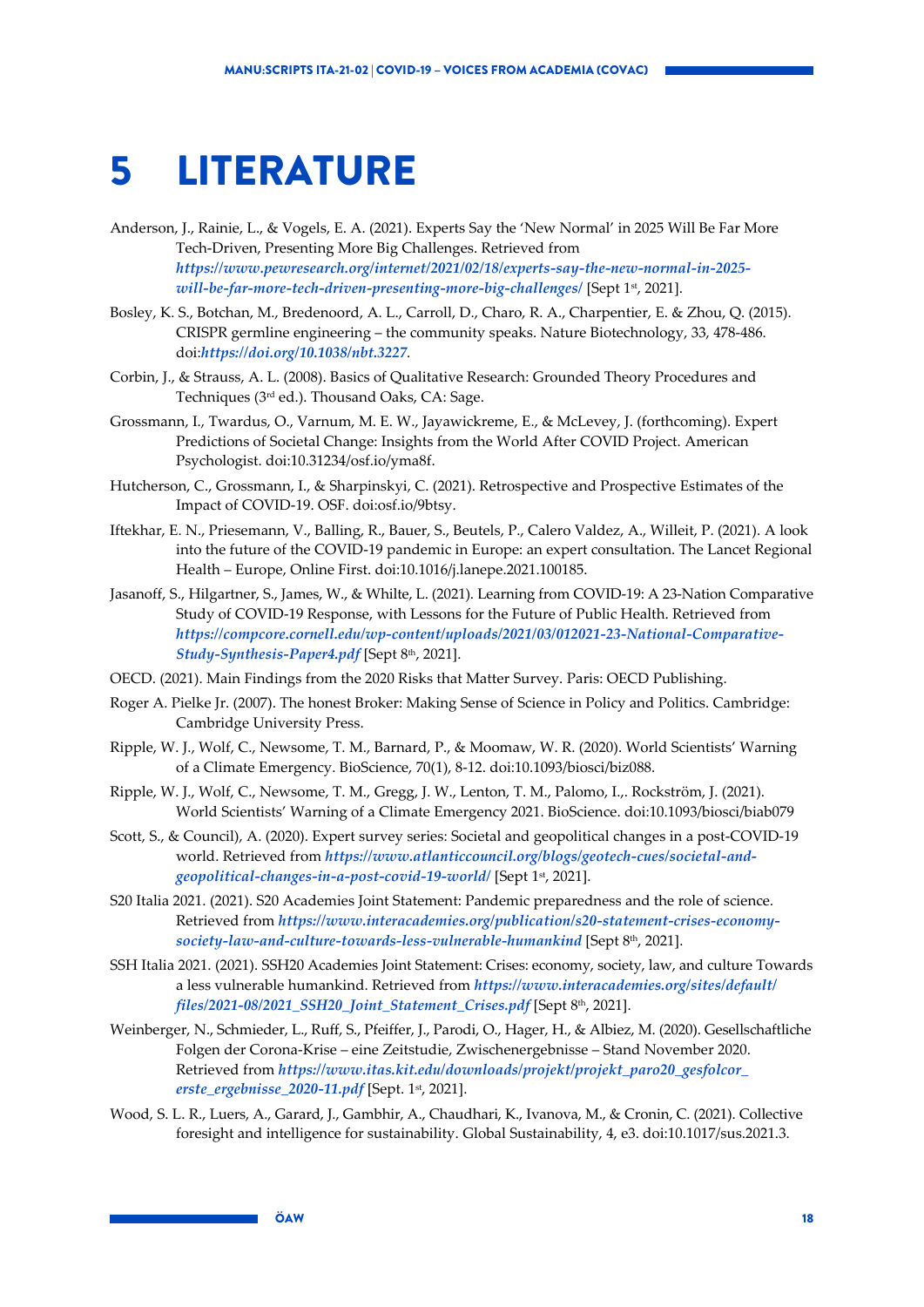### <span id="page-17-0"></span>5 LITERATURE

- Anderson, J., Rainie, L., & Vogels, E. A. (2021). Experts Say the 'New Normal' in 2025 Will Be Far More Tech-Driven, Presenting More Big Challenges. Retrieved from *[https://www.pewresearch.org/internet/2021/02/18/experts-say-the-new-normal-in-2025](https://www.pewresearch.org/internet/2021/02/18/experts-say-the-new-normal-in-2025-will-be-far-more-tech-driven-presenting-more-big-challenges/) [will-be-far-more-tech-driven-presenting-more-big-challenges/](https://www.pewresearch.org/internet/2021/02/18/experts-say-the-new-normal-in-2025-will-be-far-more-tech-driven-presenting-more-big-challenges/)* [Sept 1st, 2021].
- Bosley, K. S., Botchan, M., Bredenoord, A. L., Carroll, D., Charo, R. A., Charpentier, E. & Zhou, Q. (2015). CRISPR germline engineering – the community speaks. Nature Biotechnology, 33, 478-486. doi:*<https://doi.org/10.1038/nbt.3227>*.
- Corbin, J., & Strauss, A. L. (2008). Basics of Qualitative Research: Grounded Theory Procedures and Techniques (3rd ed.). Thousand Oaks, CA: Sage.
- Grossmann, I., Twardus, O., Varnum, M. E. W., Jayawickreme, E., & McLevey, J. (forthcoming). Expert Predictions of Societal Change: Insights from the World After COVID Project. American Psychologist. doi:10.31234/osf.io/yma8f.
- Hutcherson, C., Grossmann, I., & Sharpinskyi, C. (2021). Retrospective and Prospective Estimates of the Impact of COVID-19. OSF. doi:osf.io/9btsy.
- Iftekhar, E. N., Priesemann, V., Balling, R., Bauer, S., Beutels, P., Calero Valdez, A., Willeit, P. (2021). A look into the future of the COVID-19 pandemic in Europe: an expert consultation. The Lancet Regional Health – Europe, Online First. doi:10.1016/j.lanepe.2021.100185.
- Jasanoff, S., Hilgartner, S., James, W., & Whilte, L. (2021). Learning from COVID-19: A 23-Nation Comparative Study of COVID-19 Response, with Lessons for the Future of Public Health. Retrieved from *[https://compcore.cornell.edu/wp-content/uploads/2021/03/012021-23-National-Comparative-](https://compcore.cornell.edu/wp-content/uploads/2021/03/012021-23-National-Comparative-Study-Synthesis-Paper4.pdf)[Study-Synthesis-Paper4.pdf](https://compcore.cornell.edu/wp-content/uploads/2021/03/012021-23-National-Comparative-Study-Synthesis-Paper4.pdf)* [Sept 8th, 2021].
- OECD. (2021). Main Findings from the 2020 Risks that Matter Survey. Paris: OECD Publishing.
- Roger A. Pielke Jr. (2007). The honest Broker: Making Sense of Science in Policy and Politics. Cambridge: Cambridge University Press.
- Ripple, W. J., Wolf, C., Newsome, T. M., Barnard, P., & Moomaw, W. R. (2020). World Scientists' Warning of a Climate Emergency. BioScience, 70(1), 8-12. doi:10.1093/biosci/biz088.
- Ripple, W. J., Wolf, C., Newsome, T. M., Gregg, J. W., Lenton, T. M., Palomo, I.,. Rockström, J. (2021). World Scientists' Warning of a Climate Emergency 2021. BioScience. doi:10.1093/biosci/biab079
- Scott, S., & Council), A. (2020). Expert survey series: Societal and geopolitical changes in a post-COVID-19 world. Retrieved from *[https://www.atlanticcouncil.org/blogs/geotech-cues/societal-and](https://www.atlanticcouncil.org/blogs/geotech-cues/societal-and-geopolitical-changes-in-a-post-covid-19-world/)[geopolitical-changes-in-a-post-covid-19-world/](https://www.atlanticcouncil.org/blogs/geotech-cues/societal-and-geopolitical-changes-in-a-post-covid-19-world/)* [Sept 1st, 2021].
- S20 Italia 2021. (2021). S20 Academies Joint Statement: Pandemic preparedness and the role of science. Retrieved from *[https://www.interacademies.org/publication/s20-statement-crises-economy](https://www.interacademies.org/publication/s20-statement-crises-economy-society-law-and-culture-towards-less-vulnerable-humankind)[society-law-and-culture-towards-less-vulnerable-humankind](https://www.interacademies.org/publication/s20-statement-crises-economy-society-law-and-culture-towards-less-vulnerable-humankind)* [Sept 8th, 2021].
- SSH Italia 2021. (2021). SSH20 Academies Joint Statement: Crises: economy, society, law, and culture Towards a less vulnerable humankind. Retrieved from *[https://www.interacademies.org/sites/default/](https://www.interacademies.org/sites/default/files/2021-08/2021_SSH20_Joint_Statement_Crises.pdf)  [files/2021-08/2021\\_SSH20\\_Joint\\_Statement\\_Crises.pdf](https://www.interacademies.org/sites/default/files/2021-08/2021_SSH20_Joint_Statement_Crises.pdf)* [Sept 8th, 2021].
- Weinberger, N., Schmieder, L., Ruff, S., Pfeiffer, J., Parodi, O., Hager, H., & Albiez, M. (2020). Gesellschaftliche Folgen der Corona-Krise – eine Zeitstudie, Zwischenergebnisse – Stand November 2020. Retrieved from *[https://www.itas.kit.edu/downloads/projekt/projekt\\_paro20\\_gesfolcor\\_](https://www.itas.kit.edu/downloads/projekt/projekt_paro20_gesfolcor_erste_ergebnisse_2020-11.pdf)  [erste\\_ergebnisse\\_2020-11.pdf](https://www.itas.kit.edu/downloads/projekt/projekt_paro20_gesfolcor_erste_ergebnisse_2020-11.pdf)* [Sept. 1st, 2021].
- Wood, S. L. R., Luers, A., Garard, J., Gambhir, A., Chaudhari, K., Ivanova, M., & Cronin, C. (2021). Collective foresight and intelligence for sustainability. Global Sustainability, 4, e3. doi:10.1017/sus.2021.3.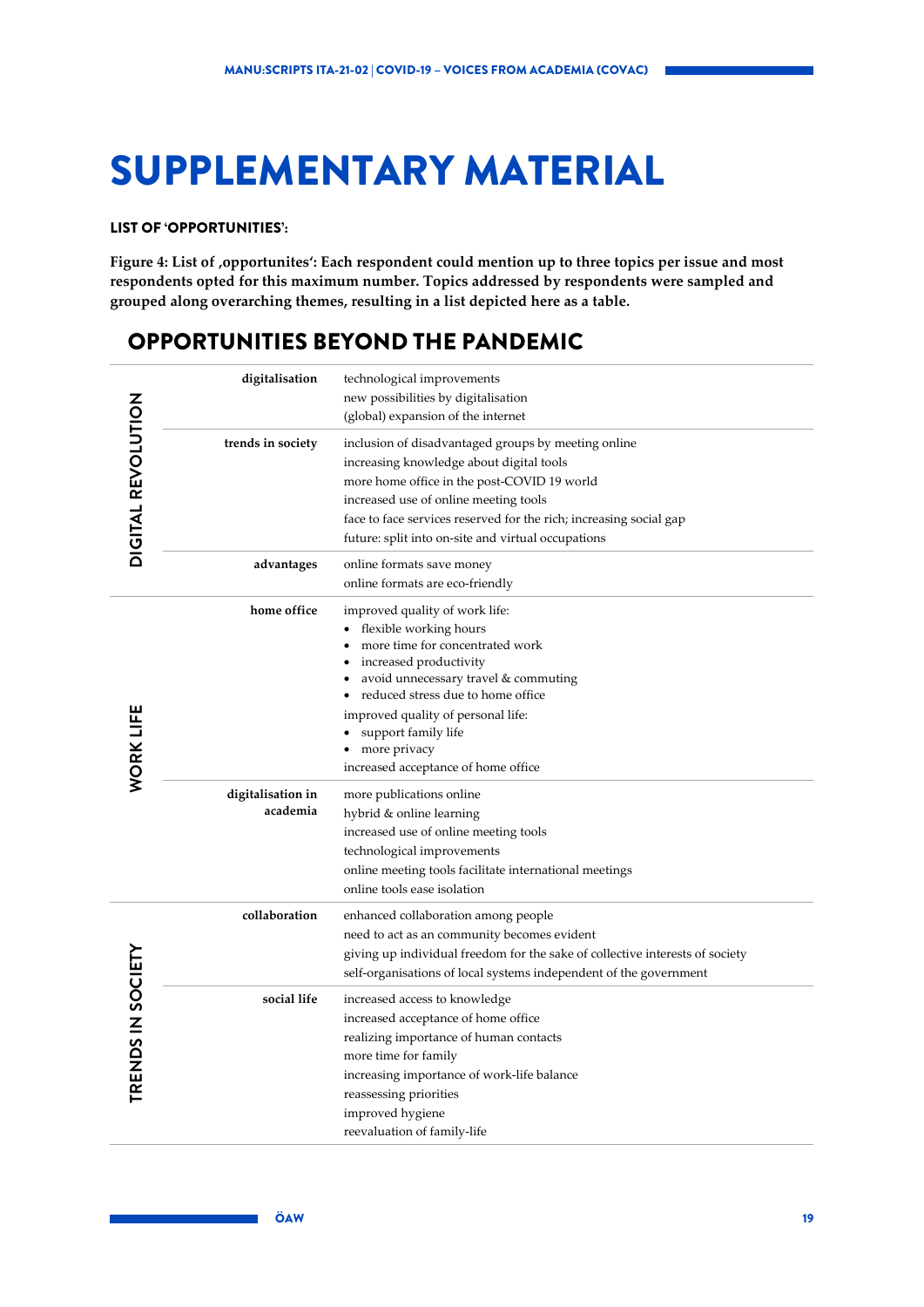## <span id="page-18-0"></span>SUPPLEMENTARY MATERIAL

### LIST OF 'OPPORTUNITIES':

<span id="page-18-1"></span>Figure 4: List of ,opportunites': Each respondent could mention up to three topics per issue and most **respondents opted for this maximum number. Topics addressed by respondents were sampled and grouped along overarching themes, resulting in a list depicted here as a table.**

### OPPORTUNITIES BEYOND THE PANDEMIC

|                           | digitalisation                | technological improvements<br>new possibilities by digitalisation<br>(global) expansion of the internet                                                                                                                                                                                                             |
|---------------------------|-------------------------------|---------------------------------------------------------------------------------------------------------------------------------------------------------------------------------------------------------------------------------------------------------------------------------------------------------------------|
| <b>DIGITAL REVOLUTION</b> | trends in society             | inclusion of disadvantaged groups by meeting online<br>increasing knowledge about digital tools<br>more home office in the post-COVID 19 world<br>increased use of online meeting tools<br>face to face services reserved for the rich; increasing social gap<br>future: split into on-site and virtual occupations |
|                           | advantages                    | online formats save money<br>online formats are eco-friendly                                                                                                                                                                                                                                                        |
|                           | home office                   | improved quality of work life:<br>flexible working hours<br>more time for concentrated work<br>increased productivity<br>avoid unnecessary travel & commuting<br>reduced stress due to home office                                                                                                                  |
| <b>WORK LIFE</b>          |                               | improved quality of personal life:<br>support family life<br>more privacy<br>increased acceptance of home office                                                                                                                                                                                                    |
|                           | digitalisation in<br>academia | more publications online<br>hybrid & online learning<br>increased use of online meeting tools<br>technological improvements<br>online meeting tools facilitate international meetings<br>online tools ease isolation                                                                                                |
|                           | collaboration                 | enhanced collaboration among people<br>need to act as an community becomes evident<br>giving up individual freedom for the sake of collective interests of society<br>self-organisations of local systems independent of the government                                                                             |
| TRENDS IN SOCIETY         | social life                   | increased access to knowledge<br>increased acceptance of home office<br>realizing importance of human contacts<br>more time for family<br>increasing importance of work-life balance<br>reassessing priorities<br>improved hygiene<br>reevaluation of family-life                                                   |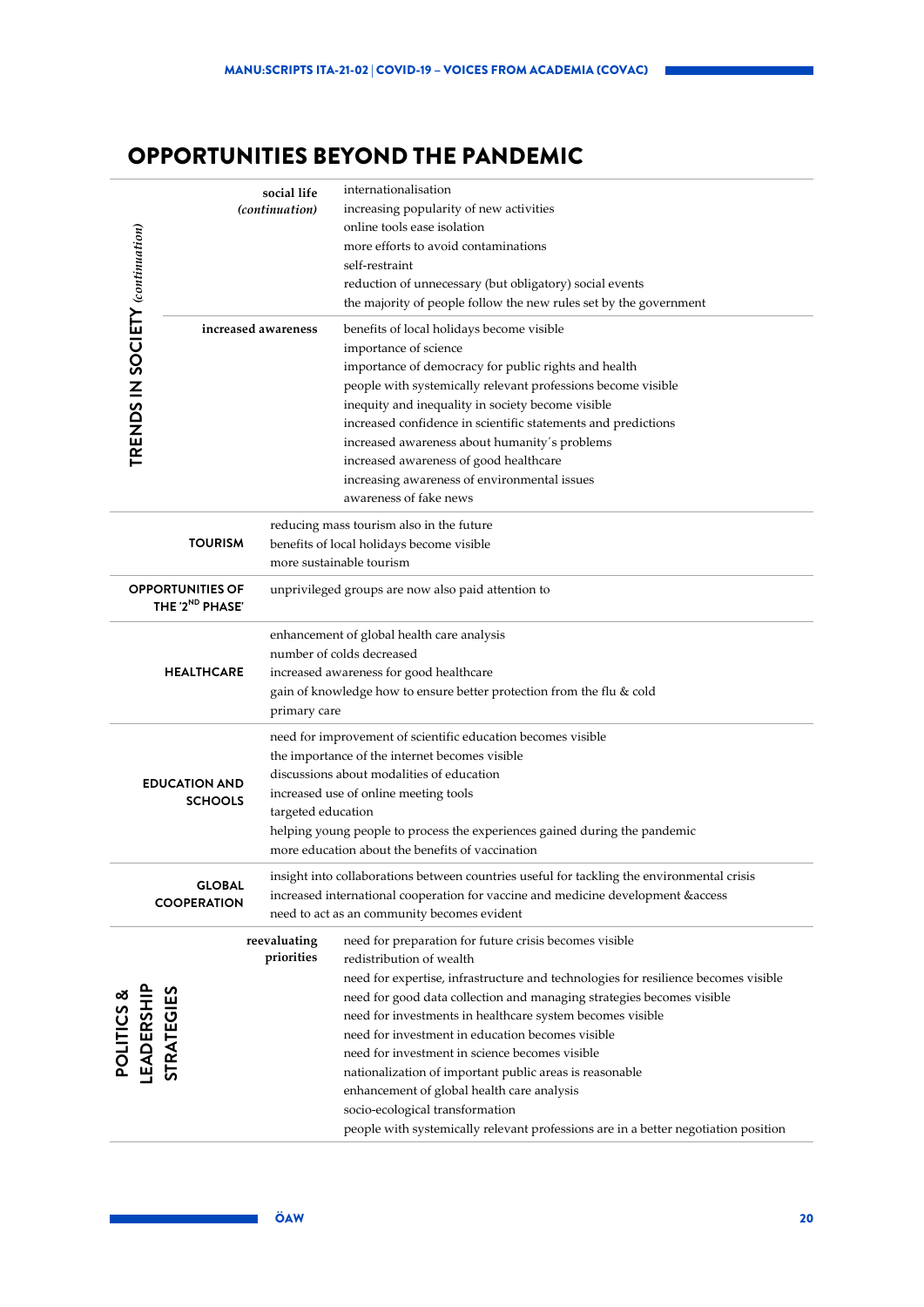### OPPORTUNITIES BEYOND THE PANDEMIC

| TRENDS IN SOCIETY (continuation)              |                                                        | social life<br>(continuation)<br>increased awareness                                                                                                                                                        | internationalisation<br>increasing popularity of new activities<br>online tools ease isolation<br>more efforts to avoid contaminations<br>self-restraint<br>reduction of unnecessary (but obligatory) social events<br>the majority of people follow the new rules set by the government<br>benefits of local holidays become visible<br>importance of science<br>importance of democracy for public rights and health<br>people with systemically relevant professions become visible<br>inequity and inequality in society become visible<br>increased confidence in scientific statements and predictions<br>increased awareness about humanity's problems<br>increased awareness of good healthcare<br>increasing awareness of environmental issues<br>awareness of fake news |  |
|-----------------------------------------------|--------------------------------------------------------|-------------------------------------------------------------------------------------------------------------------------------------------------------------------------------------------------------------|-----------------------------------------------------------------------------------------------------------------------------------------------------------------------------------------------------------------------------------------------------------------------------------------------------------------------------------------------------------------------------------------------------------------------------------------------------------------------------------------------------------------------------------------------------------------------------------------------------------------------------------------------------------------------------------------------------------------------------------------------------------------------------------|--|
|                                               | <b>TOURISM</b>                                         |                                                                                                                                                                                                             | reducing mass tourism also in the future<br>benefits of local holidays become visible<br>more sustainable tourism                                                                                                                                                                                                                                                                                                                                                                                                                                                                                                                                                                                                                                                                 |  |
|                                               | <b>OPPORTUNITIES OF</b><br>THE '2 <sup>ND</sup> PHASE' |                                                                                                                                                                                                             | unprivileged groups are now also paid attention to                                                                                                                                                                                                                                                                                                                                                                                                                                                                                                                                                                                                                                                                                                                                |  |
|                                               | <b>HEALTHCARE</b>                                      | enhancement of global health care analysis<br>number of colds decreased<br>increased awareness for good healthcare<br>gain of knowledge how to ensure better protection from the flu & cold<br>primary care |                                                                                                                                                                                                                                                                                                                                                                                                                                                                                                                                                                                                                                                                                                                                                                                   |  |
| <b>EDUCATION AND</b><br><b>SCHOOLS</b>        |                                                        | targeted education                                                                                                                                                                                          | need for improvement of scientific education becomes visible<br>the importance of the internet becomes visible<br>discussions about modalities of education<br>increased use of online meeting tools<br>helping young people to process the experiences gained during the pandemic<br>more education about the benefits of vaccination                                                                                                                                                                                                                                                                                                                                                                                                                                            |  |
|                                               | <b>GLOBAL</b><br><b>COOPERATION</b>                    |                                                                                                                                                                                                             | insight into collaborations between countries useful for tackling the environmental crisis<br>increased international cooperation for vaccine and medicine development & access<br>need to act as an community becomes evident                                                                                                                                                                                                                                                                                                                                                                                                                                                                                                                                                    |  |
| <b>LEADERSHIP</b><br>STRATEGIES<br>POLITICS & |                                                        | reevaluating<br>priorities                                                                                                                                                                                  | need for preparation for future crisis becomes visible<br>redistribution of wealth<br>need for expertise, infrastructure and technologies for resilience becomes visible<br>need for good data collection and managing strategies becomes visible<br>need for investments in healthcare system becomes visible<br>need for investment in education becomes visible<br>need for investment in science becomes visible<br>nationalization of important public areas is reasonable<br>enhancement of global health care analysis<br>socio-ecological transformation<br>people with systemically relevant professions are in a better negotiation position                                                                                                                            |  |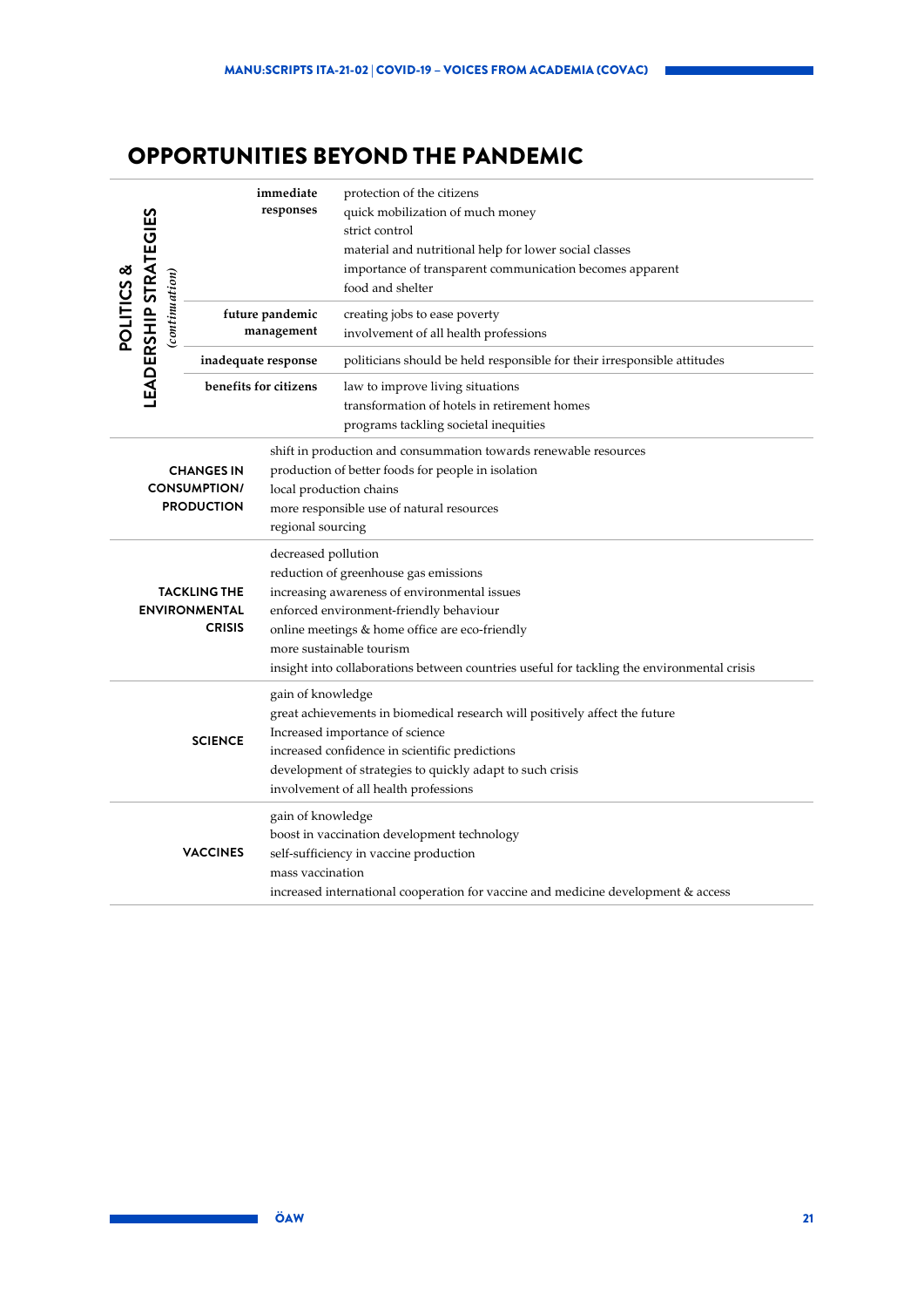### OPPORTUNITIES BEYOND THE PANDEMIC

| responses<br>quick mobilization of much money<br><b>POLITICS &amp;<br/>LEADERSHIP STRATEGIES</b><br>strict control<br>material and nutritional help for lower social classes<br>importance of transparent communication becomes apparent<br>(continuation)<br>food and shelter<br>future pandemic<br>creating jobs to ease poverty<br>management<br>involvement of all health professions<br>inadequate response<br>politicians should be held responsible for their irresponsible attitudes<br>benefits for citizens<br>law to improve living situations<br>transformation of hotels in retirement homes<br>programs tackling societal inequities<br>shift in production and consummation towards renewable resources<br>production of better foods for people in isolation<br><b>CHANGES IN</b><br><b>CONSUMPTION/</b><br>local production chains<br><b>PRODUCTION</b><br>more responsible use of natural resources<br>regional sourcing<br>decreased pollution<br>reduction of greenhouse gas emissions<br>increasing awareness of environmental issues<br><b>TACKLING THE</b><br><b>ENVIRONMENTAL</b><br>enforced environment-friendly behaviour<br><b>CRISIS</b><br>online meetings & home office are eco-friendly<br>more sustainable tourism<br>insight into collaborations between countries useful for tackling the environmental crisis<br>gain of knowledge<br>great achievements in biomedical research will positively affect the future<br>Increased importance of science<br><b>SCIENCE</b><br>increased confidence in scientific predictions<br>development of strategies to quickly adapt to such crisis<br>involvement of all health professions<br>gain of knowledge<br>boost in vaccination development technology<br><b>VACCINES</b><br>self-sufficiency in vaccine production<br>mass vaccination |  |  |  | immediate | protection of the citizens |  |
|-------------------------------------------------------------------------------------------------------------------------------------------------------------------------------------------------------------------------------------------------------------------------------------------------------------------------------------------------------------------------------------------------------------------------------------------------------------------------------------------------------------------------------------------------------------------------------------------------------------------------------------------------------------------------------------------------------------------------------------------------------------------------------------------------------------------------------------------------------------------------------------------------------------------------------------------------------------------------------------------------------------------------------------------------------------------------------------------------------------------------------------------------------------------------------------------------------------------------------------------------------------------------------------------------------------------------------------------------------------------------------------------------------------------------------------------------------------------------------------------------------------------------------------------------------------------------------------------------------------------------------------------------------------------------------------------------------------------------------------------------------------------------------------------------------------------------|--|--|--|-----------|----------------------------|--|
|                                                                                                                                                                                                                                                                                                                                                                                                                                                                                                                                                                                                                                                                                                                                                                                                                                                                                                                                                                                                                                                                                                                                                                                                                                                                                                                                                                                                                                                                                                                                                                                                                                                                                                                                                                                                                         |  |  |  |           |                            |  |
|                                                                                                                                                                                                                                                                                                                                                                                                                                                                                                                                                                                                                                                                                                                                                                                                                                                                                                                                                                                                                                                                                                                                                                                                                                                                                                                                                                                                                                                                                                                                                                                                                                                                                                                                                                                                                         |  |  |  |           |                            |  |
|                                                                                                                                                                                                                                                                                                                                                                                                                                                                                                                                                                                                                                                                                                                                                                                                                                                                                                                                                                                                                                                                                                                                                                                                                                                                                                                                                                                                                                                                                                                                                                                                                                                                                                                                                                                                                         |  |  |  |           |                            |  |
|                                                                                                                                                                                                                                                                                                                                                                                                                                                                                                                                                                                                                                                                                                                                                                                                                                                                                                                                                                                                                                                                                                                                                                                                                                                                                                                                                                                                                                                                                                                                                                                                                                                                                                                                                                                                                         |  |  |  |           |                            |  |
|                                                                                                                                                                                                                                                                                                                                                                                                                                                                                                                                                                                                                                                                                                                                                                                                                                                                                                                                                                                                                                                                                                                                                                                                                                                                                                                                                                                                                                                                                                                                                                                                                                                                                                                                                                                                                         |  |  |  |           |                            |  |
|                                                                                                                                                                                                                                                                                                                                                                                                                                                                                                                                                                                                                                                                                                                                                                                                                                                                                                                                                                                                                                                                                                                                                                                                                                                                                                                                                                                                                                                                                                                                                                                                                                                                                                                                                                                                                         |  |  |  |           |                            |  |
|                                                                                                                                                                                                                                                                                                                                                                                                                                                                                                                                                                                                                                                                                                                                                                                                                                                                                                                                                                                                                                                                                                                                                                                                                                                                                                                                                                                                                                                                                                                                                                                                                                                                                                                                                                                                                         |  |  |  |           |                            |  |
|                                                                                                                                                                                                                                                                                                                                                                                                                                                                                                                                                                                                                                                                                                                                                                                                                                                                                                                                                                                                                                                                                                                                                                                                                                                                                                                                                                                                                                                                                                                                                                                                                                                                                                                                                                                                                         |  |  |  |           |                            |  |
|                                                                                                                                                                                                                                                                                                                                                                                                                                                                                                                                                                                                                                                                                                                                                                                                                                                                                                                                                                                                                                                                                                                                                                                                                                                                                                                                                                                                                                                                                                                                                                                                                                                                                                                                                                                                                         |  |  |  |           |                            |  |
|                                                                                                                                                                                                                                                                                                                                                                                                                                                                                                                                                                                                                                                                                                                                                                                                                                                                                                                                                                                                                                                                                                                                                                                                                                                                                                                                                                                                                                                                                                                                                                                                                                                                                                                                                                                                                         |  |  |  |           |                            |  |
|                                                                                                                                                                                                                                                                                                                                                                                                                                                                                                                                                                                                                                                                                                                                                                                                                                                                                                                                                                                                                                                                                                                                                                                                                                                                                                                                                                                                                                                                                                                                                                                                                                                                                                                                                                                                                         |  |  |  |           |                            |  |
|                                                                                                                                                                                                                                                                                                                                                                                                                                                                                                                                                                                                                                                                                                                                                                                                                                                                                                                                                                                                                                                                                                                                                                                                                                                                                                                                                                                                                                                                                                                                                                                                                                                                                                                                                                                                                         |  |  |  |           |                            |  |
|                                                                                                                                                                                                                                                                                                                                                                                                                                                                                                                                                                                                                                                                                                                                                                                                                                                                                                                                                                                                                                                                                                                                                                                                                                                                                                                                                                                                                                                                                                                                                                                                                                                                                                                                                                                                                         |  |  |  |           |                            |  |
|                                                                                                                                                                                                                                                                                                                                                                                                                                                                                                                                                                                                                                                                                                                                                                                                                                                                                                                                                                                                                                                                                                                                                                                                                                                                                                                                                                                                                                                                                                                                                                                                                                                                                                                                                                                                                         |  |  |  |           |                            |  |
|                                                                                                                                                                                                                                                                                                                                                                                                                                                                                                                                                                                                                                                                                                                                                                                                                                                                                                                                                                                                                                                                                                                                                                                                                                                                                                                                                                                                                                                                                                                                                                                                                                                                                                                                                                                                                         |  |  |  |           |                            |  |
|                                                                                                                                                                                                                                                                                                                                                                                                                                                                                                                                                                                                                                                                                                                                                                                                                                                                                                                                                                                                                                                                                                                                                                                                                                                                                                                                                                                                                                                                                                                                                                                                                                                                                                                                                                                                                         |  |  |  |           |                            |  |
|                                                                                                                                                                                                                                                                                                                                                                                                                                                                                                                                                                                                                                                                                                                                                                                                                                                                                                                                                                                                                                                                                                                                                                                                                                                                                                                                                                                                                                                                                                                                                                                                                                                                                                                                                                                                                         |  |  |  |           |                            |  |
|                                                                                                                                                                                                                                                                                                                                                                                                                                                                                                                                                                                                                                                                                                                                                                                                                                                                                                                                                                                                                                                                                                                                                                                                                                                                                                                                                                                                                                                                                                                                                                                                                                                                                                                                                                                                                         |  |  |  |           |                            |  |
|                                                                                                                                                                                                                                                                                                                                                                                                                                                                                                                                                                                                                                                                                                                                                                                                                                                                                                                                                                                                                                                                                                                                                                                                                                                                                                                                                                                                                                                                                                                                                                                                                                                                                                                                                                                                                         |  |  |  |           |                            |  |
|                                                                                                                                                                                                                                                                                                                                                                                                                                                                                                                                                                                                                                                                                                                                                                                                                                                                                                                                                                                                                                                                                                                                                                                                                                                                                                                                                                                                                                                                                                                                                                                                                                                                                                                                                                                                                         |  |  |  |           |                            |  |
|                                                                                                                                                                                                                                                                                                                                                                                                                                                                                                                                                                                                                                                                                                                                                                                                                                                                                                                                                                                                                                                                                                                                                                                                                                                                                                                                                                                                                                                                                                                                                                                                                                                                                                                                                                                                                         |  |  |  |           |                            |  |
|                                                                                                                                                                                                                                                                                                                                                                                                                                                                                                                                                                                                                                                                                                                                                                                                                                                                                                                                                                                                                                                                                                                                                                                                                                                                                                                                                                                                                                                                                                                                                                                                                                                                                                                                                                                                                         |  |  |  |           |                            |  |
|                                                                                                                                                                                                                                                                                                                                                                                                                                                                                                                                                                                                                                                                                                                                                                                                                                                                                                                                                                                                                                                                                                                                                                                                                                                                                                                                                                                                                                                                                                                                                                                                                                                                                                                                                                                                                         |  |  |  |           |                            |  |
|                                                                                                                                                                                                                                                                                                                                                                                                                                                                                                                                                                                                                                                                                                                                                                                                                                                                                                                                                                                                                                                                                                                                                                                                                                                                                                                                                                                                                                                                                                                                                                                                                                                                                                                                                                                                                         |  |  |  |           |                            |  |
|                                                                                                                                                                                                                                                                                                                                                                                                                                                                                                                                                                                                                                                                                                                                                                                                                                                                                                                                                                                                                                                                                                                                                                                                                                                                                                                                                                                                                                                                                                                                                                                                                                                                                                                                                                                                                         |  |  |  |           |                            |  |
|                                                                                                                                                                                                                                                                                                                                                                                                                                                                                                                                                                                                                                                                                                                                                                                                                                                                                                                                                                                                                                                                                                                                                                                                                                                                                                                                                                                                                                                                                                                                                                                                                                                                                                                                                                                                                         |  |  |  |           |                            |  |
|                                                                                                                                                                                                                                                                                                                                                                                                                                                                                                                                                                                                                                                                                                                                                                                                                                                                                                                                                                                                                                                                                                                                                                                                                                                                                                                                                                                                                                                                                                                                                                                                                                                                                                                                                                                                                         |  |  |  |           |                            |  |
|                                                                                                                                                                                                                                                                                                                                                                                                                                                                                                                                                                                                                                                                                                                                                                                                                                                                                                                                                                                                                                                                                                                                                                                                                                                                                                                                                                                                                                                                                                                                                                                                                                                                                                                                                                                                                         |  |  |  |           |                            |  |
|                                                                                                                                                                                                                                                                                                                                                                                                                                                                                                                                                                                                                                                                                                                                                                                                                                                                                                                                                                                                                                                                                                                                                                                                                                                                                                                                                                                                                                                                                                                                                                                                                                                                                                                                                                                                                         |  |  |  |           |                            |  |
|                                                                                                                                                                                                                                                                                                                                                                                                                                                                                                                                                                                                                                                                                                                                                                                                                                                                                                                                                                                                                                                                                                                                                                                                                                                                                                                                                                                                                                                                                                                                                                                                                                                                                                                                                                                                                         |  |  |  |           |                            |  |
|                                                                                                                                                                                                                                                                                                                                                                                                                                                                                                                                                                                                                                                                                                                                                                                                                                                                                                                                                                                                                                                                                                                                                                                                                                                                                                                                                                                                                                                                                                                                                                                                                                                                                                                                                                                                                         |  |  |  |           |                            |  |
|                                                                                                                                                                                                                                                                                                                                                                                                                                                                                                                                                                                                                                                                                                                                                                                                                                                                                                                                                                                                                                                                                                                                                                                                                                                                                                                                                                                                                                                                                                                                                                                                                                                                                                                                                                                                                         |  |  |  |           |                            |  |
|                                                                                                                                                                                                                                                                                                                                                                                                                                                                                                                                                                                                                                                                                                                                                                                                                                                                                                                                                                                                                                                                                                                                                                                                                                                                                                                                                                                                                                                                                                                                                                                                                                                                                                                                                                                                                         |  |  |  |           |                            |  |
| increased international cooperation for vaccine and medicine development & access                                                                                                                                                                                                                                                                                                                                                                                                                                                                                                                                                                                                                                                                                                                                                                                                                                                                                                                                                                                                                                                                                                                                                                                                                                                                                                                                                                                                                                                                                                                                                                                                                                                                                                                                       |  |  |  |           |                            |  |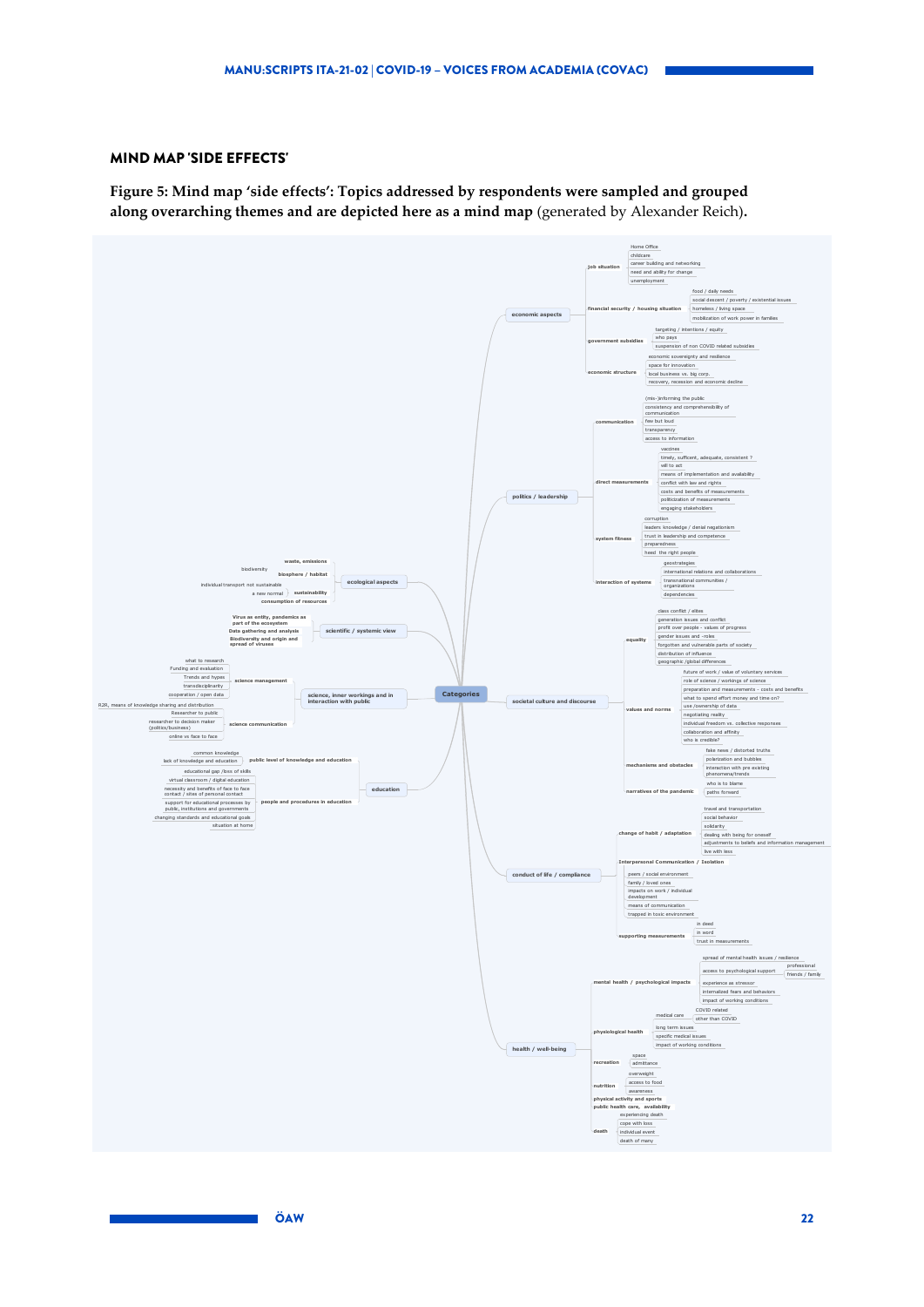#### MIND MAP 'SIDE EFFECTS'

<span id="page-21-0"></span>**Figure 5: Mind map 'side effects': Topics addressed by respondents were sampled and grouped along overarching themes and are depicted here as a mind map** (generated by Alexander Reich)**.** 

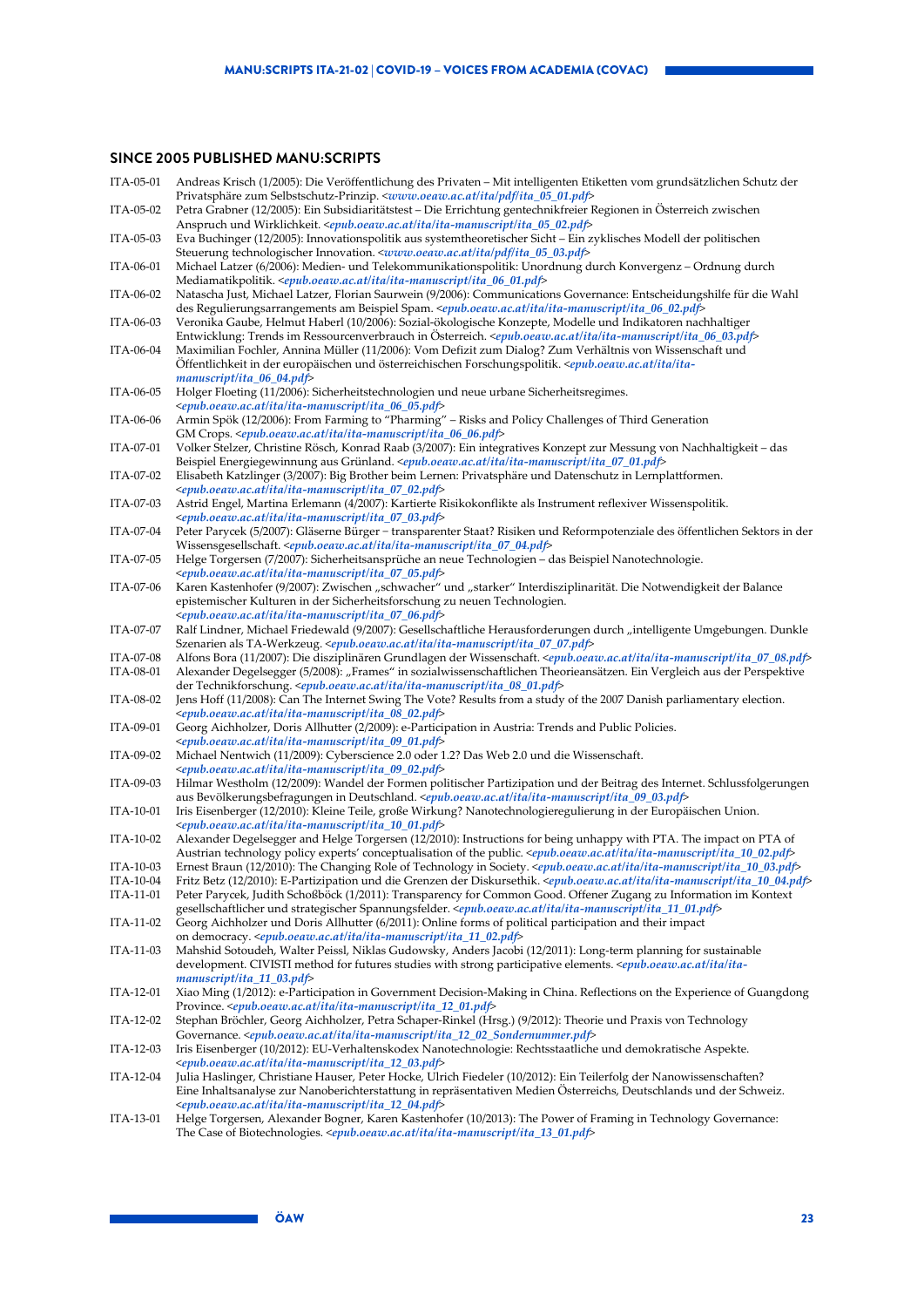### **SINCE 2005 PUBLISHED MANU:SCRIPTS**

| ITA-05-01 | Andreas Krisch (1/2005): Die Veröffentlichung des Privaten - Mit intelligenten Etiketten vom grundsätzlichen Schutz der                                                                                                                                                                                                                                                                 |
|-----------|-----------------------------------------------------------------------------------------------------------------------------------------------------------------------------------------------------------------------------------------------------------------------------------------------------------------------------------------------------------------------------------------|
| ITA-05-02 | Privatsphäre zum Selbstschutz-Prinzip. <www.oeaw.ac.at ita="" ita_05_01.pdf="" pdf=""><br/>Petra Grabner (12/2005): Ein Subsidiaritätstest – Die Errichtung gentechnikfreier Regionen in Osterreich zwischen</www.oeaw.ac.at>                                                                                                                                                           |
| ITA-05-03 | Anspruch und Wirklichkeit. <epub.oeaw.ac.at ita="" ita-manuscript="" ita_05_02.pdf=""><br/>Eva Buchinger (12/2005): Innovationspolitik aus systemtheoretischer Sicht – Ein zyklisches Modell der politischen</epub.oeaw.ac.at>                                                                                                                                                          |
|           | Steuerung technologischer Innovation. < <i>www.oeaw.ac.at/ita/pdf/ita_05_03.pdf</i> >                                                                                                                                                                                                                                                                                                   |
| ITA-06-01 | Michael Latzer (6/2006): Medien- und Telekommunikationspolitik: Unordnung durch Konvergenz – Ordnung durch<br>Mediamatikpolitik. <epub.oeaw.ac.at ita="" ita-manuscript="" ita_06_01.pdf=""></epub.oeaw.ac.at>                                                                                                                                                                          |
| ITA-06-02 | Natascha Just, Michael Latzer, Florian Saurwein (9/2006): Communications Governance: Entscheidungshilfe für die Wahl                                                                                                                                                                                                                                                                    |
| ITA-06-03 | des Regulierungsarrangements am Beispiel Spam. <epub.oeaw.ac.at ita="" ita-manuscript="" ita_06_02.pdf=""><br/>Veronika Gaube, Helmut Haberl (10/2006): Sozial-ökologische Konzepte, Modelle und Indikatoren nachhaltiger<br/>Entwicklung: Trends im Ressourcenverbrauch in Osterreich. <epub.oeaw.ac.at ita="" ita-manuscript="" ita_06_03.pdf=""></epub.oeaw.ac.at></epub.oeaw.ac.at> |
| ITA-06-04 | Maximilian Fochler, Annina Müller (11/2006): Vom Defizit zum Dialog? Zum Verhältnis von Wissenschaft und<br>-Offentlichkeit in der europäischen und österreichischen Forschungspolitik. <epub.oeaw.ac.at ita="" ita<="" td=""></epub.oeaw.ac.at>                                                                                                                                        |
| ITA-06-05 | $manuscript/ita_06_04.pdf$<br>Holger Floeting (11/2006): Sicherheitstechnologien und neue urbane Sicherheitsregimes.                                                                                                                                                                                                                                                                    |
| ITA-06-06 | <epub.oeaw.ac.at ita="" ita-manuscript="" ita_06_05.pdf=""><br/>Armin Spök (12/2006): From Farming to "Pharming" – Risks and Policy Challenges of Third Generation</epub.oeaw.ac.at>                                                                                                                                                                                                    |
| ITA-07-01 | GM Crops. <epub.oeaw.ac.at ita="" ita-manuscript="" ita_06_06.pdf=""><br/>Volker Stelzer, Christine Rösch, Konrad Raab (3/2007): Ein integratives Konzept zur Messung von Nachhaltigkeit – das</epub.oeaw.ac.at>                                                                                                                                                                        |
| ITA-07-02 | Beispiel Energiegewinnung aus Grünland. <epub.oeaw.ac.at ita="" ita-manuscript="" ita_07_01.pdf=""><br/>Elisabeth Katzlinger (3/2007): Big Brother beim Lernen: Privatsphäre und Datenschutz in Lernplattformen.</epub.oeaw.ac.at>                                                                                                                                                      |
| ITA-07-03 | <epub.oeaw.ac.at ita="" ita-manuscript="" ita_07_02.pdf=""><br/>Astrid Engel, Martina Erlemann (4/2007): Kartierte Risikokonflikte als Instrument reflexiver Wissenspolitik.</epub.oeaw.ac.at>                                                                                                                                                                                          |
| ITA-07-04 | <epub.oeaw.ac.at ita="" ita-manuscript="" ita_07_03.pdf=""><br/>Peter Parycek (5/2007): Gläserne Bürger – transparenter Staat? Risiken und Reformpotenziale des öffentlichen Sektors in der<br/>Wissensgesellschaft. <epub.oeaw.ac.at ita="" ita-manuscript="" ita_07_04.pdf=""></epub.oeaw.ac.at></epub.oeaw.ac.at>                                                                    |
| ITA-07-05 | Helge Torgersen (7/2007): Sicherheitsansprüche an neue Technologien - das Beispiel Nanotechnologie.<br><epub.oeaw.ac.at ita="" ita-manuscript="" ita_07_05.pdf=""></epub.oeaw.ac.at>                                                                                                                                                                                                    |
| ITA-07-06 | Karen Kastenhofer (9/2007): Zwischen "schwacher" und "starker" Interdisziplinarität. Die Notwendigkeit der Balance<br>epistemischer Kulturen in der Sicherheitsforschung zu neuen Technologien.                                                                                                                                                                                         |
| ITA-07-07 | <epub.oeaw.ac.at ita="" ita-manuscript="" ita_07_06.pdf=""><br/>Ralf Lindner, Michael Friedewald (9/2007): Gesellschaftliche Herausforderungen durch "intelligente Umgebungen. Dunkle</epub.oeaw.ac.at>                                                                                                                                                                                 |
| ITA-07-08 | Szenarien als TA-Werkzeug. < <i>epub.oeaw.ac.at/ita/ita-manuscript/ita_07_07.pdf&gt;</i><br>Alfons Bora (11/2007): Die disziplinären Grundlagen der Wissenschaft. <epub.oeaw.ac.at ita="" ita-manuscript="" ita_07_08.pdf=""></epub.oeaw.ac.at>                                                                                                                                         |
| ITA-08-01 | Alexander Degelsegger (5/2008): "Frames" in sozialwissenschaftlichen Theorieansätzen. Ein Vergleich aus der Perspektive<br>der Technikforschung. <epub.oeaw.ac.at ita="" ita-manuscript="" ita_08_01.pdf=""></epub.oeaw.ac.at>                                                                                                                                                          |
| ITA-08-02 | Jens Hoff (11/2008): Can The Internet Swing The Vote? Results from a study of the 2007 Danish parliamentary election.<br><epub.oeaw.ac.at ita="" ita-manuscript="" ita_08_02.pdf=""></epub.oeaw.ac.at>                                                                                                                                                                                  |
| ITA-09-01 | Georg Aichholzer, Doris Allhutter (2/2009): e-Participation in Austria: Trends and Public Policies.<br><epub.oeaw.ac.at ita="" ita-manuscript="" ita_09_01.pdf=""></epub.oeaw.ac.at>                                                                                                                                                                                                    |
| ITA-09-02 | Michael Nentwich (11/2009): Cyberscience 2.0 oder 1.2? Das Web 2.0 und die Wissenschaft.<br><epub.oeaw.ac.at ita="" ita-manuscript="" ita_09_02.pdf=""></epub.oeaw.ac.at>                                                                                                                                                                                                               |
| ITA-09-03 | Hilmar Westholm (12/2009): Wandel der Formen politischer Partizipation und der Beitrag des Internet. Schlussfolgerungen<br>aus Bevölkerungsbefragungen in Deutschland. <epub.oeaw.ac.at ita="" ita-manuscript="" ita_09_03.pdf=""></epub.oeaw.ac.at>                                                                                                                                    |
| ITA-10-01 | Iris Eisenberger (12/2010): Kleine Teile, große Wirkung? Nanotechnologieregulierung in der Europäischen Union.<br><epub.oeaw.ac.at ita="" ita-manuscript="" ita_10_01.pdf=""></epub.oeaw.ac.at>                                                                                                                                                                                         |
| ITA-10-02 | Alexander Degelsegger and Helge Torgersen (12/2010): Instructions for being unhappy with PTA. The impact on PTA of<br>Austrian technology policy experts' conceptualisation of the public. <epub.oeaw.ac.at ita="" ita-manuscript="" ita_10_02.pdf=""></epub.oeaw.ac.at>                                                                                                                |
| ITA-10-03 | Ernest Braun (12/2010): The Changing Role of Technology in Society. <epub.oeaw.ac.at ita="" ita-manuscript="" ita_10_03.pdf=""></epub.oeaw.ac.at>                                                                                                                                                                                                                                       |
| ITA-10-04 | Fritz Betz (12/2010): E-Partizipation und die Grenzen der Diskursethik. <epub.oeaw.ac.at ita="" ita-manuscript="" ita_10_04.pdf=""></epub.oeaw.ac.at>                                                                                                                                                                                                                                   |
| ITA-11-01 | Peter Parycek, Judith Schoßböck (1/2011): Transparency for Common Good. Offener Zugang zu Information im Kontext<br>gesellschaftlicher und strategischer Spannungsfelder. <epub.oeaw.ac.at ita="" ita-manuscript="" ita_11_01.pdf=""></epub.oeaw.ac.at>                                                                                                                                 |
| ITA-11-02 | Georg Aichholzer und Doris Allhutter (6/2011): Online forms of political participation and their impact<br>on democracy. <epub.oeaw.ac.at ita="" ita-manuscript="" ita_11_02.pdf=""></epub.oeaw.ac.at>                                                                                                                                                                                  |
| ITA-11-03 | Mahshid Sotoudeh, Walter Peissl, Niklas Gudowsky, Anders Jacobi (12/2011): Long-term planning for sustainable<br>development. CIVISTI method for futures studies with strong participative elements. <epub.oeaw.ac.at ita="" ita-<br=""><math>manuscript/ita_11_03.pdf</math></epub.oeaw.ac.at>                                                                                         |
| ITA-12-01 | Xiao Ming (1/2012): e-Participation in Government Decision-Making in China. Reflections on the Experience of Guangdong<br>Province. <epub.oeaw.ac.at ita="" ita-manuscript="" ita_12_01.pdf=""></epub.oeaw.ac.at>                                                                                                                                                                       |
| ITA-12-02 | Stephan Bröchler, Georg Aichholzer, Petra Schaper-Rinkel (Hrsg.) (9/2012): Theorie und Praxis von Technology<br>Governance. <epub.oeaw.ac.at ita="" ita-manuscript="" ita_12_02_sondernummer.pdf=""></epub.oeaw.ac.at>                                                                                                                                                                  |
| ITA-12-03 | Iris Eisenberger (10/2012): EU-Verhaltenskodex Nanotechnologie: Rechtsstaatliche und demokratische Aspekte.<br><epub.oeaw.ac.at ita="" ita-manuscript="" ita_12_03.pdf=""></epub.oeaw.ac.at>                                                                                                                                                                                            |
| ITA-12-04 | Julia Haslinger, Christiane Hauser, Peter Hocke, Ulrich Fiedeler (10/2012): Ein Teilerfolg der Nanowissenschaften?<br>Eine Inhaltsanalyse zur Nanoberichterstattung in repräsentativen Medien Österreichs, Deutschlands und der Schweiz.                                                                                                                                                |
|           | <epub.oeaw.ac.at ita="" ita-manuscript="" ita_12_04.pdf=""></epub.oeaw.ac.at>                                                                                                                                                                                                                                                                                                           |

ITA-13-01 Helge Torgersen, Alexander Bogner, Karen Kastenhofer (10/2013): The Power of Framing in Technology Governance: The Case of Biotechnologies. <*[epub.oeaw.ac.at/ita/ita-manuscript/ita\\_13\\_01.pdf](http://epub.oeaw.ac.at/ita/ita-manuscript/ita_13_01.pdf)*>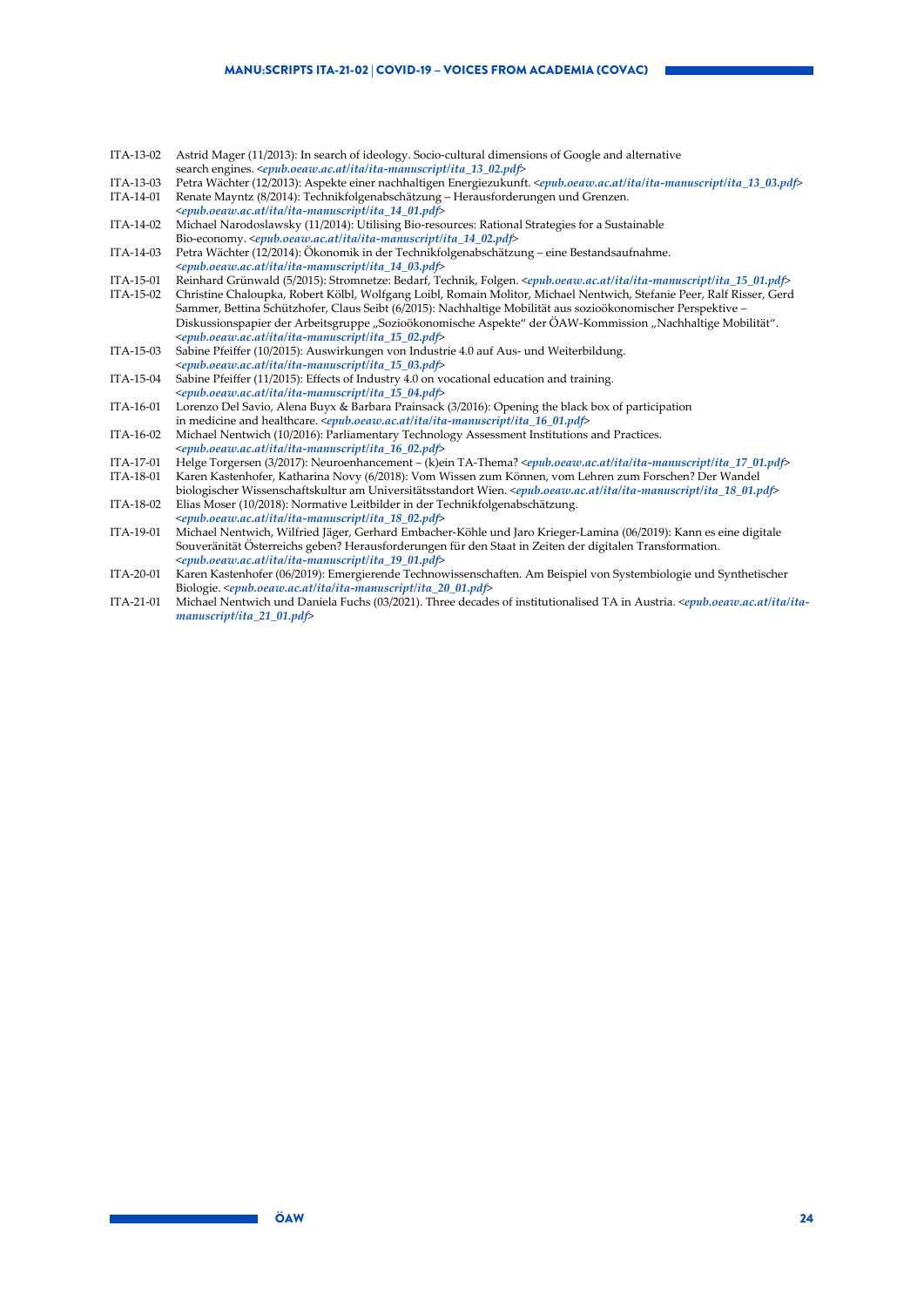| ITA-13-02 | Astrid Mager (11/2013): In search of ideology. Socio-cultural dimensions of Google and alternative                                                |
|-----------|---------------------------------------------------------------------------------------------------------------------------------------------------|
|           | search engines. <epub.oeaw.ac.at ita="" ita-manuscript="" ita_13_02.pdf=""></epub.oeaw.ac.at>                                                     |
| ITA-13-03 | Petra Wächter (12/2013): Aspekte einer nachhaltigen Energiezukunft. <epub.oeaw.ac.at ita="" ita-manuscript="" ita_13_03.pdf=""></epub.oeaw.ac.at> |
| ITA-14-01 | Renate Mayntz (8/2014): Technikfolgenabschätzung – Herausforderungen und Grenzen.                                                                 |
|           | <epub.oeaw.ac.at ita="" ita-manuscript="" ita_14_01.pdf=""></epub.oeaw.ac.at>                                                                     |
| ITA-14-02 | Michael Narodoslawsky (11/2014): Utilising Bio-resources: Rational Strategies for a Sustainable                                                   |
|           | Bio-economy. <epub.oeaw.ac.at ita="" ita-manuscript="" ita_14_02.pdf=""></epub.oeaw.ac.at>                                                        |
| ITA-14-03 | Petra Wächter (12/2014): Ökonomik in der Technikfolgenabschätzung – eine Bestandsaufnahme.                                                        |
|           | <epub.oeaw.ac.at ita="" ita-manuscript="" ita_14_03.pdf=""></epub.oeaw.ac.at>                                                                     |
| ITA-15-01 | Reinhard Grünwald (5/2015): Stromnetze: Bedarf, Technik, Folgen. <epub.oeaw.ac.at ita="" ita-manuscript="" ita_15_01.pdf=""></epub.oeaw.ac.at>    |
| ITA-15-02 | Christine Chaloupka, Robert Kölbl, Wolfgang Loibl, Romain Molitor, Michael Nentwich, Stefanie Peer, Ralf Risser, Gerd                             |
|           | Sammer, Bettina Schützhofer, Claus Seibt (6/2015): Nachhaltige Mobilität aus sozioökonomischer Perspektive -                                      |
|           | Diskussionspapier der Arbeitsgruppe "Sozioökonomische Aspekte" der ÖAW-Kommission "Nachhaltige Mobilität".                                        |
|           | <epub.oeaw.ac.at ita="" ita-manuscript="" ita_15_02.pdf=""></epub.oeaw.ac.at>                                                                     |
| ITA-15-03 | Sabine Pfeiffer (10/2015): Auswirkungen von Industrie 4.0 auf Aus- und Weiterbildung.                                                             |
|           | <epub.oeaw.ac.at ita="" ita-manuscript="" ita_15_03.pdf=""></epub.oeaw.ac.at>                                                                     |
| ITA-15-04 | Sabine Pfeiffer (11/2015): Effects of Industry 4.0 on vocational education and training.                                                          |
|           | <epub.oeaw.ac.at ita="" ita-manuscript="" ita_15_04.pdf=""></epub.oeaw.ac.at>                                                                     |
| ITA-16-01 | Lorenzo Del Savio, Alena Buyx & Barbara Prainsack (3/2016): Opening the black box of participation                                                |
|           | in medicine and healthcare. <epub.oeaw.ac.at ita="" ita-manuscript="" ita_16_01.pdf=""></epub.oeaw.ac.at>                                         |
| ITA-16-02 | Michael Nentwich (10/2016): Parliamentary Technology Assessment Institutions and Practices.                                                       |
|           | <epub.oeaw.ac.at ita="" ita-manuscript="" ita_16_02.pdf=""></epub.oeaw.ac.at>                                                                     |
| ITA-17-01 | Helge Torgersen (3/2017): Neuroenhancement – (k)ein TA-Thema? <epub.oeaw.ac.at ita="" ita-manuscript="" ita_17_01.pdf=""></epub.oeaw.ac.at>       |
| ITA-18-01 | Karen Kastenhofer, Katharina Novy (6/2018): Vom Wissen zum Können, vom Lehren zum Forschen? Der Wandel                                            |
|           | biologischer Wissenschaftskultur am Universitätsstandort Wien. <epub.oeaw.ac.at ita="" ita-manuscript="" ita_18_01.pdf=""></epub.oeaw.ac.at>      |
| ITA-18-02 | Elias Moser (10/2018): Normative Leitbilder in der Technikfolgenabschätzung.                                                                      |
|           | <epub.oeaw.ac.at ita="" ita-manuscript="" ita_18_02.pdf=""></epub.oeaw.ac.at>                                                                     |
| ITA-19-01 | Michael Nentwich, Wilfried Jäger, Gerhard Embacher-Köhle und Jaro Krieger-Lamina (06/2019): Kann es eine digitale                                 |
|           | Souveränität Österreichs geben? Herausforderungen für den Staat in Zeiten der digitalen Transformation.                                           |
|           | <epub.oeaw.ac.at ita="" ita-manuscript="" ita_19_01.pdf=""></epub.oeaw.ac.at>                                                                     |
| ITA-20-01 | Karen Kastenhofer (06/2019): Emergierende Technowissenschaften. Am Beispiel von Systembiologie und Synthetischer                                  |
|           | Biologie. <epub.oeaw.ac.at ita="" ita-manuscript="" ita_20_01.pdf=""></epub.oeaw.ac.at>                                                           |

ITA-21-01 Michael Nentwich und Daniela Fuchs (03/2021). Three decades of institutionalised TA in Austria. <*[epub.oeaw.ac.at/ita/ita](http://epub.oeaw.ac.at/ita/ita-manuscript/ita_21_01.pdf)[manuscript/ita\\_21\\_01.pdf](http://epub.oeaw.ac.at/ita/ita-manuscript/ita_21_01.pdf)*>